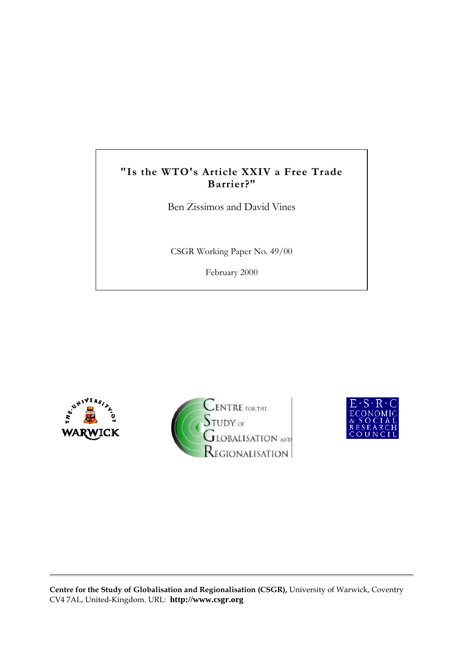## **"Is the WTO's Article XXIV a Free Trade Barrier?"**

Ben Zissimos and David Vines

CSGR Working Paper No. 49/00

February 2000







**Centre for the Study of Globalisation and Regionalisation (CSGR),** University of Warwick, Coventry CV4 7AL, United-Kingdom. URL: **http://www.csgr.org**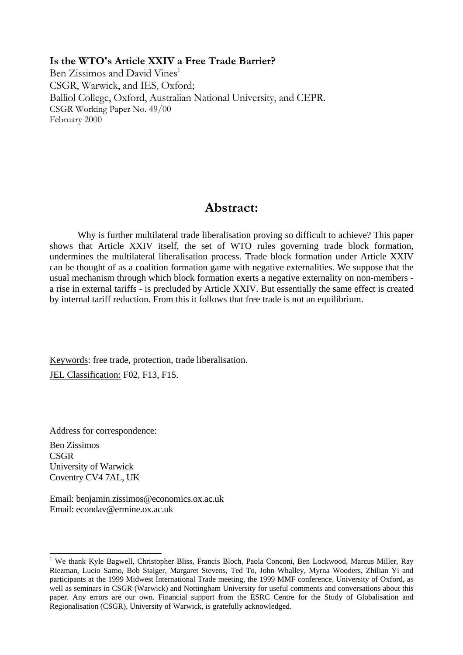## **Is the WTO's Article XXIV a Free Trade Barrier?**

Ben Zissimos and David Vines<sup>1</sup> CSGR, Warwick, and IES, Oxford; Balliol College, Oxford, Australian National University, and CEPR. CSGR Working Paper No. 49/00 February 2000

# **Abstract:**

Why is further multilateral trade liberalisation proving so difficult to achieve? This paper shows that Article XXIV itself, the set of WTO rules governing trade block formation, undermines the multilateral liberalisation process. Trade block formation under Article XXIV can be thought of as a coalition formation game with negative externalities. We suppose that the usual mechanism through which block formation exerts a negative externality on non-members a rise in external tariffs - is precluded by Article XXIV. But essentially the same effect is created by internal tariff reduction. From this it follows that free trade is not an equilibrium.

Keywords: free trade, protection, trade liberalisation. JEL Classification: F02, F13, F15.

Address for correspondence: Ben Zissimos **CSGR** University of Warwick Coventry CV4 7AL, UK

 $\overline{a}$ 

Email: benjamin.zissimos@economics.ox.ac.uk Email: econdav@ermine.ox.ac.uk

<sup>&</sup>lt;sup>1</sup> We thank Kyle Bagwell, Christopher Bliss, Francis Bloch, Paola Conconi, Ben Lockwood, Marcus Miller, Ray Riezman, Lucio Sarno, Bob Staiger, Margaret Stevens, Ted To, John Whalley, Myrna Wooders, Zhilian Yi and participants at the 1999 Midwest International Trade meeting, the 1999 MMF conference, University of Oxford, as well as seminars in CSGR (Warwick) and Nottingham University for useful comments and conversations about this paper. Any errors are our own. Financial support from the ESRC Centre for the Study of Globalisation and Regionalisation (CSGR), University of Warwick, is gratefully acknowledged.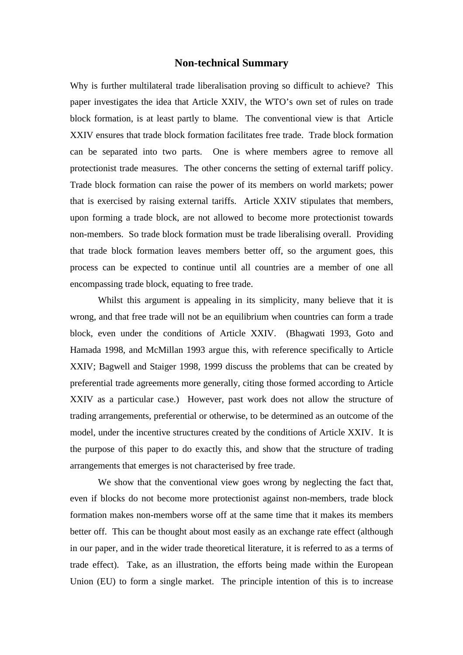## **Non-technical Summary**

Why is further multilateral trade liberalisation proving so difficult to achieve? This paper investigates the idea that Article XXIV, the WTO's own set of rules on trade block formation, is at least partly to blame. The conventional view is that Article XXIV ensures that trade block formation facilitates free trade. Trade block formation can be separated into two parts. One is where members agree to remove all protectionist trade measures. The other concerns the setting of external tariff policy. Trade block formation can raise the power of its members on world markets; power that is exercised by raising external tariffs. Article XXIV stipulates that members, upon forming a trade block, are not allowed to become more protectionist towards non-members. So trade block formation must be trade liberalising overall. Providing that trade block formation leaves members better off, so the argument goes, this process can be expected to continue until all countries are a member of one all encompassing trade block, equating to free trade.

Whilst this argument is appealing in its simplicity, many believe that it is wrong, and that free trade will not be an equilibrium when countries can form a trade block, even under the conditions of Article XXIV. (Bhagwati 1993, Goto and Hamada 1998, and McMillan 1993 argue this, with reference specifically to Article XXIV; Bagwell and Staiger 1998, 1999 discuss the problems that can be created by preferential trade agreements more generally, citing those formed according to Article XXIV as a particular case.) However, past work does not allow the structure of trading arrangements, preferential or otherwise, to be determined as an outcome of the model, under the incentive structures created by the conditions of Article XXIV. It is the purpose of this paper to do exactly this, and show that the structure of trading arrangements that emerges is not characterised by free trade.

We show that the conventional view goes wrong by neglecting the fact that, even if blocks do not become more protectionist against non-members, trade block formation makes non-members worse off at the same time that it makes its members better off. This can be thought about most easily as an exchange rate effect (although in our paper, and in the wider trade theoretical literature, it is referred to as a terms of trade effect). Take, as an illustration, the efforts being made within the European Union (EU) to form a single market. The principle intention of this is to increase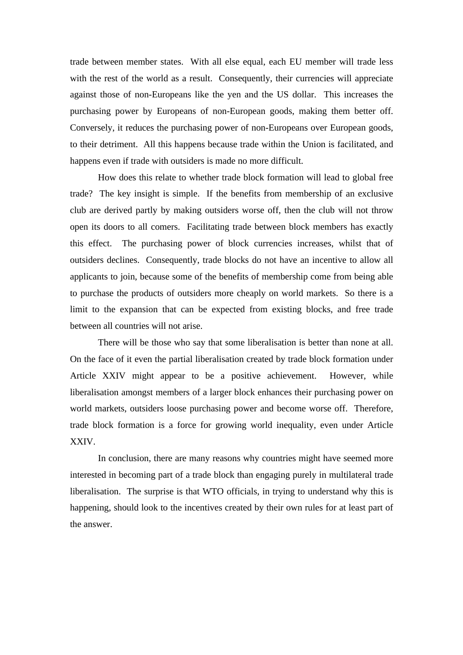trade between member states. With all else equal, each EU member will trade less with the rest of the world as a result. Consequently, their currencies will appreciate against those of non-Europeans like the yen and the US dollar. This increases the purchasing power by Europeans of non-European goods, making them better off. Conversely, it reduces the purchasing power of non-Europeans over European goods, to their detriment. All this happens because trade within the Union is facilitated, and happens even if trade with outsiders is made no more difficult.

How does this relate to whether trade block formation will lead to global free trade? The key insight is simple. If the benefits from membership of an exclusive club are derived partly by making outsiders worse off, then the club will not throw open its doors to all comers. Facilitating trade between block members has exactly this effect. The purchasing power of block currencies increases, whilst that of outsiders declines. Consequently, trade blocks do not have an incentive to allow all applicants to join, because some of the benefits of membership come from being able to purchase the products of outsiders more cheaply on world markets. So there is a limit to the expansion that can be expected from existing blocks, and free trade between all countries will not arise.

There will be those who say that some liberalisation is better than none at all. On the face of it even the partial liberalisation created by trade block formation under Article XXIV might appear to be a positive achievement. However, while liberalisation amongst members of a larger block enhances their purchasing power on world markets, outsiders loose purchasing power and become worse off. Therefore, trade block formation is a force for growing world inequality, even under Article XXIV.

In conclusion, there are many reasons why countries might have seemed more interested in becoming part of a trade block than engaging purely in multilateral trade liberalisation. The surprise is that WTO officials, in trying to understand why this is happening, should look to the incentives created by their own rules for at least part of the answer.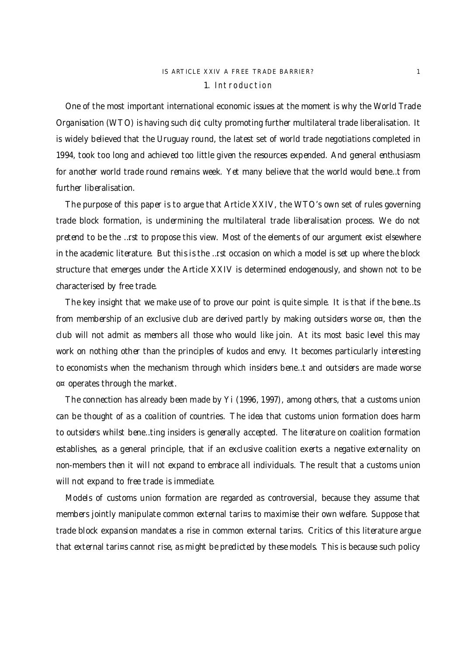## IS ARTICLE XXIV A FREE TRADE BARRIER? 1 1. Introduction

One of the most important international economic issues at the moment is why the World Trade Organisation (WTO) is having such di¢culty promoting further multilateral trade liberalisation. It is widely believed that the Uruguay round, the latest set of world trade negotiations completed in 1994, took too long and achieved too little given the resources expended. And general enthusiasm for another world trade round remains week. Yet many believe that the world would bene…t from further liberalisation.

The purpose of this paper is to argue that Article XXIV, the WTO's own set of rules governing trade block formation, is undermining the multilateral trade liberalisation process. We do not pretend to be the …rst to propose this view. Most of the elements of our argument exist elsewhere in the academic literature. But this is the …rst occasion on which a model is set up where the block structure that emerges under the Article XXIV is determined endogenously, and shown not to be characterised by free trade.

The key insight that we make use of to prove our point is quite simple. It is that if the bene…ts from membership of an exclusive club are derived partly by making outsiders worse  $o^{\alpha}$ , then the club will not admit as members all those who would like join. At its most basic level this may work on nothing other than the principles of kudos and envy. It becomes particularly interesting to economists when the mechanism through which insiders bene…t and outsiders are made worse o¤ operates through the market.

The connection has already been made by Yi (1996, 1997), among others, that a customs union can be thought of as a coalition of countries. The idea that customs union formation does harm to outsiders whilst bene…ting insiders is generally accepted. The literature on coalition formation establishes, as a general principle, that if an exclusive coalition exerts a negative externality on non-members then it will not expand to embrace all individuals. The result that a customs union will not expand to free trade is immediate.

Models of customs union formation are regarded as controversial, because they assume that members jointly manipulate common external tari¤s to maximise their own welfare. Suppose that trade block expansion mandates a rise in common external tari¤s. Critics of this literature argue that external tari¤s cannot rise, as might be predicted by these models. This is because such policy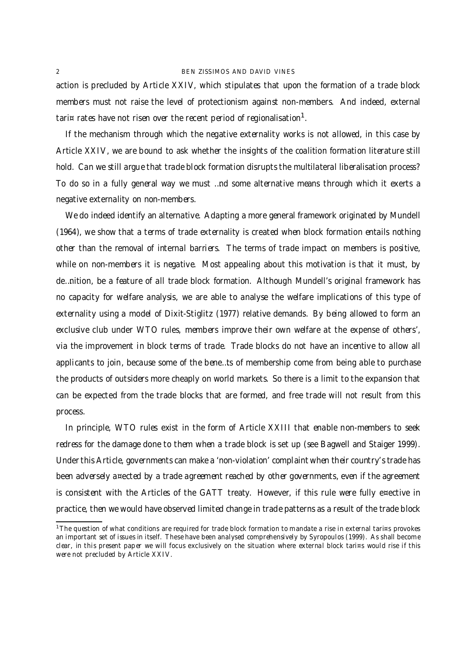action is precluded by Article XXIV, which stipulates that upon the formation of a trade block members must not raise the level of protectionism against non-members. And indeed, external tari¤ rates have not risen over the recent period of regionalisation<sup>1</sup>.

If the mechanism through which the negative externality works is not allowed, in this case by Article XXIV, we are bound to ask whether the insights of the coalition formation literature still hold. Can we still argue that trade block formation disrupts the multilateral liberalisation process? To do so in a fully general way we must …nd some alternative means through which it exerts a negative externality on non-members.

We do indeed identify an alternative. Adapting a more general framework originated by Mundell (1964), we show that a terms of trade externality is created when block formation entails nothing other than the removal of internal barriers. The terms of trade impact on members is positive, while on non-members it is negative. Most appealing about this motivation is that it must, by de…nition, be a feature of all trade block formation. Although Mundell's original framework has no capacity for welfare analysis, we are able to analyse the welfare implications of this type of externality using a model of Dixit-Stiglitz (1977) relative demands. By being allowed to form an exclusive club under WTO rules, members improve their own welfare at the expense of others', via the improvement in block terms of trade. Trade blocks do not have an incentive to allow all applicants to join, because some of the bene…ts of membership come from being able to purchase the products of outsiders more cheaply on world markets. So there is a limit to the expansion that can be expected from the trade blocks that are formed, and free trade will not result from this process.

In principle, WTO rules exist in the form of Article XXIII that enable non-members to seek redress for the damage done to them when a trade block is set up (see Bagwell and Staiger 1999). Under this Article, governments can make a 'non-violation' complaint when their country's trade has been adversely a¤ected by a trade agreement reached by other governments, even if the agreement is consistent with the Articles of the GATT treaty. However, if this rule were fully e¤ective in practice, then we would have observed limited change in trade patterns as a result of the trade block

<sup>&</sup>lt;sup>1</sup>The question of what conditions are required for trade block formation to mandate a rise in external tari¤s provokes an important set of issues in itself. These have been analysed comprehensively by Syropoulos (1999). As shall become clear, in this present paper we will focus exclusively on the situation where external block tari¤s would rise if this were not precluded by Article XXIV.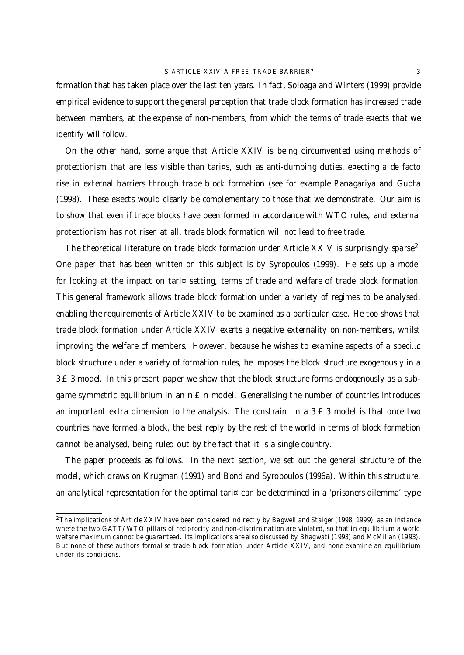formation that has taken place over the last ten years. In fact, Soloaga and Winters (1999) provide empirical evidence to support the general perception that trade block formation has increased trade between members, at the expense of non-members, from which the terms of trade e¤ects that we identify will follow.

On the other hand, some argue that Article XXIV is being circumvented using methods of protectionism that are less visible than tari¤s, such as anti-dumping duties, e¤ecting a de facto rise in external barriers through trade block formation (see for example Panagariya and Gupta (1998). These e¤ects would clearly be complementary to those that we demonstrate. Our aim is to show that even if trade blocks have been formed in accordance with WTO rules, and external protectionism has not risen at all, trade block formation will not lead to free trade.

The theoretical literature on trade block formation under Article XXIV is surprisingly sparse<sup>2</sup>. One paper that has been written on this subject is by Syropoulos (1999). He sets up a model for looking at the impact on tari¤ setting, terms of trade and welfare of trade block formation. This general framework allows trade block formation under a variety of regimes to be analysed, enabling the requirements of Article XXIV to be examined as a particular case. He too shows that trade block formation under Article XXIV exerts a negative externality on non-members, whilst improving the welfare of members. However, because he wishes to examine aspects of a speci…c block structure under a variety of formation rules, he imposes the block structure exogenously in a 3 £ 3 model. In this present paper we show that the block structure forms endogenously as a subgame symmetric equilibrium in an  $n \in n$  model. Generalising the number of countries introduces an important extra dimension to the analysis. The constraint in a  $3 \nE 3$  model is that once two countries have formed a block, the best reply by the rest of the world in terms of block formation cannot be analysed, being ruled out by the fact that it is a single country.

The paper proceeds as follows. In the next section, we set out the general structure of the model, which draws on Krugman (1991) and Bond and Syropoulos (1996a). Within this structure, an analytical representation for the optimal tari¤ can be determined in a 'prisoners dilemma' type

<sup>&</sup>lt;sup>2</sup>The implications of Article XXIV have been considered indirectly by Bagwell and Staiger (1998, 1999), as an instance where the two GATT/WTO pillars of reciprocity and non-discrimination are violated, so that in equilibrium a world welfare maximum cannot be guaranteed. Its implications are also discussed by Bhagwati (1993) and McMillan (1993). But none of these authors formalise trade block formation under Article XXIV, and none examine an equilibrium under its conditions.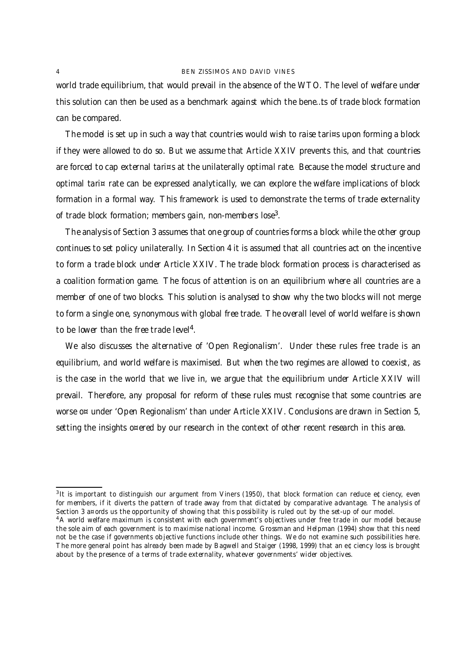world trade equilibrium, that would prevail in the absence of the WTO. The level of welfare under this solution can then be used as a benchmark against which the bene…ts of trade block formation can be compared.

The model is set up in such a way that countries would wish to raise tari¤s upon forming a block if they were allowed to do so. But we assume that Article XXIV prevents this, and that countries are forced to cap external tari¤s at the unilaterally optimal rate. Because the model structure and optimal tari¤ rate can be expressed analytically, we can explore the welfare implications of block formation in a formal way. This framework is used to demonstrate the terms of trade externality of trade block formation; members gain, non-members lose<sup>3</sup>.

The analysis of Section 3 assumes that one group of countries forms a block while the other group continues to set policy unilaterally. In Section 4 it is assumed that all countries act on the incentive to form a trade block under Article XXIV. The trade block formation process is characterised as a coalition formation game. The focus of attention is on an equilibrium where all countries are a member of one of two blocks. This solution is analysed to show why the two blocks will not merge to form a single one, synonymous with global free trade. The overall level of world welfare is shown to be lower than the free trade level<sup>4</sup>.

We also discusses the alternative of 'Open Regionalism'. Under these rules free trade is an equilibrium, and world welfare is maximised. But when the two regimes are allowed to coexist, as is the case in the world that we live in, we argue that the equilibrium under Article XXIV will prevail. Therefore, any proposal for reform of these rules must recognise that some countries are worse o¤ under 'Open Regionalism' than under Article XXIV. Conclusions are drawn in Section 5, setting the insights o¤ered by our research in the context of other recent research in this area.

<sup>3</sup> It is important to distinguish our argument from Viners (1950), that block formation can reduce e¢ciency, even for members, if it diverts the pattern of trade away from that dictated by comparative advantage. The analysis of Section 3 a¤ords us the opportunity of showing that this possibility is ruled out by the set-up of our model.

<sup>&</sup>lt;sup>4</sup>A world welfare maximum is consistent with each government's objectives under free trade in our model because the sole aim of each government is to maximise national income. Grossman and Helpman (1994) show that this need not be the case if governments objective functions include other things. We do not examine such possibilities here. The more general point has already been made by Bagwell and Staiger (1998, 1999) that an e¢ciency loss is brought about by the presence of a terms of trade externality, whatever governments' wider objectives.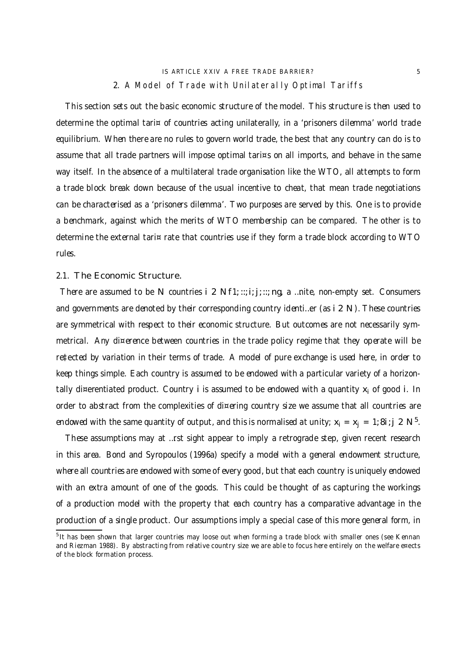## IS ARTICLE XXIV A FREE TRADE BARRIER? 5 2. A Model of Trade with Unilaterally Optimal Tariffs

This section sets out the basic economic structure of the model. This structure is then used to determine the optimal tari¤ of countries acting unilaterally, in a 'prisoners dilemma' world trade equilibrium. When there are no rules to govern world trade, the best that any country can do is to assume that all trade partners will impose optimal tari¤s on all imports, and behave in the same way itself. In the absence of a multilateral trade organisation like the WTO, all attempts to form a trade block break down because of the usual incentive to cheat, that mean trade negotiations can be characterised as a 'prisoners dilemma'. Two purposes are served by this. One is to provide a benchmark, against which the merits of WTO membership can be compared. The other is to determine the external tari¤ rate that countries use if they form a trade block according to WTO rules.

2.1. The Economic Structure.

There are assumed to be N countries i 2 N  $f1$ ; ::; i; j; ::; ng, a ... nite, non-empty set. Consumers and governments are denoted by their corresponding country identi…er (as i 2 N). These countries are symmetrical with respect to their economic structure. But outcomes are not necessarily symmetrical. Any di¤erence between countries in the trade policy regime that they operate will be re‡ected by variation in their terms of trade. A model of pure exchange is used here, in order to keep things simple. Each country is assumed to be endowed with a particular variety of a horizontally di¤erentiated product. Country i is assumed to be endowed with a quantity  $x_i$  of good i. In order to abstract from the complexities of di¤ering country size we assume that all countries are endowed with the same quantity of output, and this is normalised at unity;  $x_i = x_j = 1;8$ i; j 2 N $^5$ .

These assumptions may at …rst sight appear to imply a retrograde step, given recent research in this area. Bond and Syropoulos (1996a) specify a model with a general endowment structure, where all countries are endowed with some of every good, but that each country is uniquely endowed with an extra amount of one of the goods. This could be thought of as capturing the workings of a production model with the property that each country has a comparative advantage in the production of a single product. Our assumptions imply a special case of this more general form, in

<sup>&</sup>lt;sup>5</sup>It has been shown that larger countries may loose out when forming a trade block with smaller ones (see Kennan and Riezman 1988). By abstracting from relative country size we are able to focus here entirely on the welfare e¤ects of the block formation process.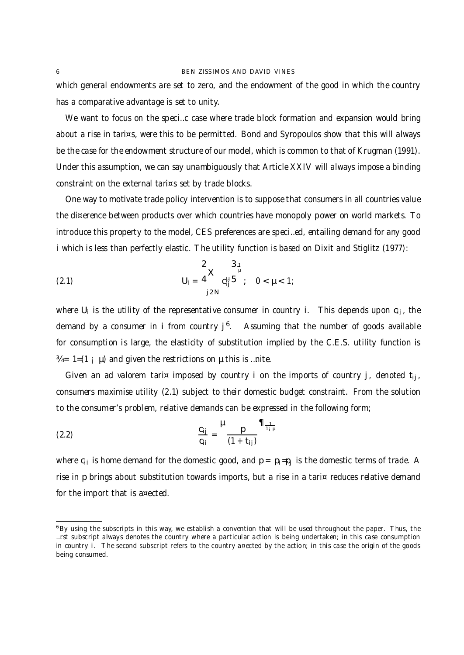which general endowments are set to zero, and the endowment of the good in which the country has a comparative advantage is set to unity.

We want to focus on the speci…c case where trade block formation and expansion would bring about a rise in tari¤s, were this to be permitted. Bond and Syropoulos show that this will always be the case for the endowment structure of our model, which is common to that of Krugman (1991). Under this assumption, we can say unambiguously that Article XXIV will always impose a binding constraint on the external tari¤s set by trade blocks.

One way to motivate trade policy intervention is to suppose that consumers in all countries value the di¤erence between products over which countries have monopoly power on world markets. To introduce this property to the model, CES preferences are speci…ed, entailing demand for any good i which is less than perfectly elastic. The utility function is based on Dixit and Stiglitz (1977):

(2.1) 
$$
U_{i} = \frac{2}{4} \times \frac{3_{\frac{1}{\mu}}}{\int_{j2N}^{u} 5}; \quad 0 < \mu < 1;
$$

where  $U_i$  is the utility of the representative consumer in country i. This depends upon  $c_{ii}$ , the demand by a consumer in i from country j<sup>6</sup>. Assuming that the number of goods available for consumption is large, the elasticity of substitution implied by the C.E.S. utility function is  $\frac{3}{4}$  = 1=(1;  $\mu$ ) and given the restrictions on  $\mu$  this is ... nite.

Given an ad valorem tari¤ imposed by country i on the imports of country j, denoted  $t_{ii}$ , consumers maximise utility (2.1) subject to their domestic budget constraint. From the solution to the consumer's problem, relative demands can be expressed in the following form;

(2.2) 
$$
\frac{c_{ij}}{c_{ii}} = \frac{\mu}{(1+t_{ij})} \frac{\eta_{\frac{1}{t_{i}}\mu}}{1+t_{ij}}
$$

where c<sub>ij</sub> is home demand for the domestic good, and  $p = p_i = p_i$  is the domestic terms of trade. A rise in p brings about substitution towards imports, but a rise in a tari¤ reduces relative demand for the import that is a¤ected.

<sup>&</sup>lt;sup>6</sup>By using the subscripts in this way, we establish a convention that will be used throughout the paper. Thus, the …rst subscript always denotes the country where a particular action is being undertaken; in this case consumption in country i. The second subscript refers to the country a¤ected by the action; in this case the origin of the goods being consumed.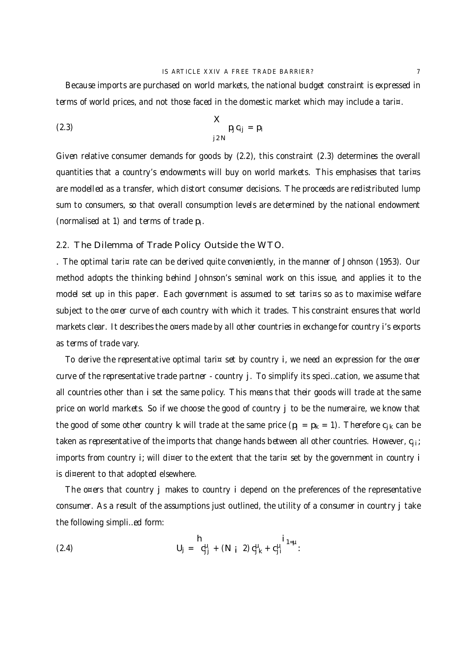Because imports are purchased on world markets, the national budget constraint is expressed in terms of world prices, and not those faced in the domestic market which may include a tari¤.

(2.3) 
$$
p_j c_{ij} = p_i
$$

$$
j 2N
$$

Given relative consumer demands for goods by (2.2), this constraint (2.3) determines the overall quantities that a country's endowments will buy on world markets. This emphasises that tari¤s are modelled as a transfer, which distort consumer decisions. The proceeds are redistributed lump sum to consumers, so that overall consumption levels are determined by the national endowment (normalised at 1) and terms of trade  $p_i$ .

### 2.2. The Dilemma of Trade Policy Outside the WTO.

. The optimal tari¤ rate can be derived quite conveniently, in the manner of Johnson (1953). Our method adopts the thinking behind Johnson's seminal work on this issue, and applies it to the model set up in this paper. Each government is assumed to set tari¤s so as to maximise welfare subject to the o¤er curve of each country with which it trades. This constraint ensures that world markets clear. It describes the o¤ers made by all other countries in exchange for country i's exports as terms of trade vary.

To derive the representative optimal tari $\alpha$  set by country i, we need an expression for the o¤er curve of the representative trade partner - country j. To simplify its speci…cation, we assume that all countries other than i set the same policy. This means that their goods will trade at the same price on world markets. So if we choose the good of country j to be the numeraire, we know that the good of some other country k will trade at the same price  $(p_j = p_k = 1)$ . Therefore  $c_{jk}$  can be taken as representative of the imports that change hands between all other countries. However, c<sub>ii</sub>; imports from country i; will di¤er to the extent that the tari¤ set by the government in country i is di¤erent to that adopted elsewhere.

The o¤ers that country j makes to country i depend on the preferences of the representative consumer. As a result of the assumptions just outlined, the utility of a consumer in country j take the following simpli…ed form:

(2.4) 
$$
U_{j} = C_{j}^{\mu} + (N_{i} 2) C_{j k}^{\mu} + C_{j i}^{\mu} = 1 + \mu
$$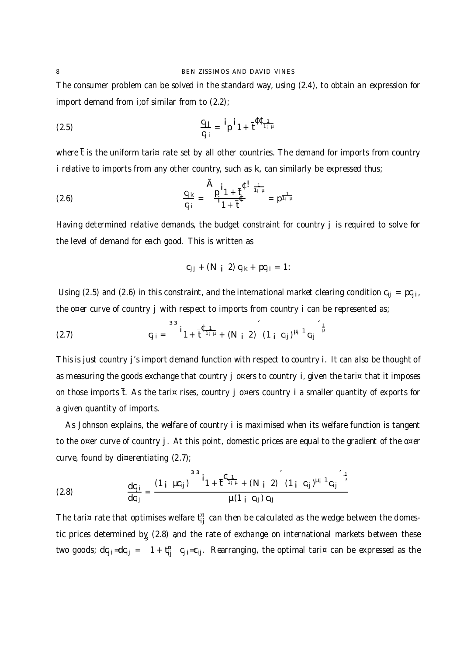The consumer problem can be solved in the standard way, using (2.4), to obtain an expression for import demand from i;of similar from to (2.2);

$$
\frac{C_{jj}}{C_{j i}} = \frac{i}{p} \mathbf{i} \mathbf{1} + \frac{c}{t} \mathbf{C}_{\frac{1}{i} \mu}
$$

where  $\bar{t}$  is the uniform tari¤ rate set by all other countries. The demand for imports from country i relative to imports from any other country, such as k, can similarly be expressed thus;

(2.6) 
$$
\frac{c_{jk}}{c_{ji}} = \frac{A_{p}i_{1 + \frac{1}{b}}}{1_{1 + \frac{1}{b}}} = p^{\frac{1}{1_{i}}\mu}
$$

Having determined relative demands, the budget constraint for country j is required to solve for the level of demand for each good. This is written as

$$
c_{jj} + (N_i 2) c_{jk} + pc_{ji} = 1
$$

Using (2.5) and (2.6) in this constraint, and the international market clearing condition  $c_{ij} = pc_{ji}$ , the o¤er curve of country j with respect to imports from country i can be represented as;

(2.7) 
$$
C_{j i} = \int^{33} i_{1} + \frac{4}{t} \frac{1}{1+i} + (N_{j} + 2) (1 + C_{ij})^{\mu_{i} + 1} C_{ij} \bigg|^{t_{i} + t_{i}} = 1
$$

This is just country j's import demand function with respect to country i. It can also be thought of as measuring the goods exchange that country j o¤ers to country i, given the tari¤ that it imposes on those imports  $\bar{t}$ . As the tari¤ rises, country j o¤ers country i a smaller quantity of exports for a given quantity of imports.

As Johnson explains, the welfare of country i is maximised when its welfare function is tangent to the o¤er curve of country j. At this point, domestic prices are equal to the gradient of the o¤er curve, found by di¤erentiating  $(2.7)$ ;

(2.8) 
$$
\frac{dc_{ji}}{dc_{ij}} = \frac{(1 + \mu c_{ij})^{33}i_{1} + t^{4}i_{1} + (N + 2) (1 + c_{ij})^{\mu_{i} + 1}c_{ij}}{\mu (1 + c_{ij})c_{ij}}
$$

The tari¤ rate that optimises welfare  $\mathfrak{t}^{\text{\tiny H}}_{\mathsf{ij}}$  can then be calculated as the wedge between the domestic prices determined by (2.8) and the rate of exchange on international markets between these two goods; d $c_{j,i}$ =d $c_{ij}$  =  $1 + t_{ij}^{\pi}$ c<sub>j i</sub>=c<sub>ij</sub>. Rearranging, the optimal tari¤ can be expressed as the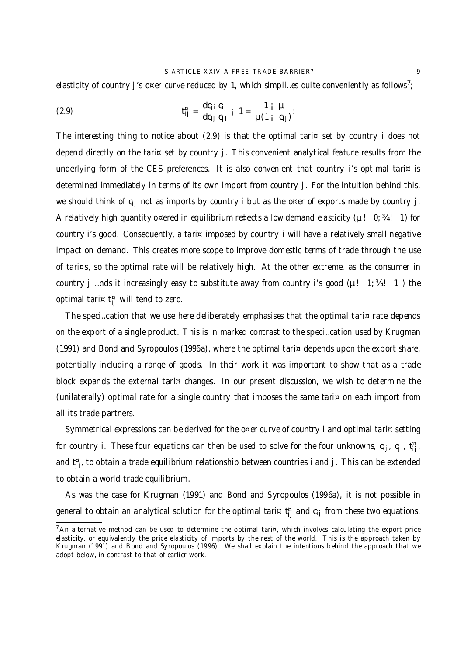elasticity of country  ${\bf j}$  's o¤er curve reduced by 1, which simpli…es quite conveniently as follows<sup>7</sup>;

(2.9) 
$$
t_{ij}^{H} = \frac{dc_{ji}}{dc_{ij}} \frac{c_{ij}}{c_{ji}} i \quad 1 = \frac{1 i \mu}{\mu (1 i \ c_{ij})}.
$$

The interesting thing to notice about (2.9) is that the optimal tari $\alpha$  set by country i does not depend directly on the tari¤ set by country j. This convenient analytical feature results from the underlying form of the CES preferences. It is also convenient that country i's optimal tari $\alpha$  is determined immediately in terms of its own import from country j. For the intuition behind this, we should think of  $c_{ii}$  not as imports by country i but as the o¤er of exports made by country j. A relatively high quantity o¤ered in equilibrium re‡ects a low demand elasticity ( $\mu$ ! 0; 34! 1) for country i's good. Consequently, a tari¤ imposed by country i will have a relatively small negative impact on demand. This creates more scope to improve domestic terms of trade through the use of tari¤s, so the optimal rate will be relatively high. At the other extreme, as the consumer in country j …nds it increasingly easy to substitute away from country i's good ( $\mu$ ! 1; 34! 1) the optimal tari¤ t<sub>ij</sub> will tend to zero.

The speci...cation that we use here deliberately emphasises that the optimal tari¤ rate depends on the export of a single product. This is in marked contrast to the speci…cation used by Krugman (1991) and Bond and Syropoulos (1996a), where the optimal tari¤ depends upon the export share, potentially including a range of goods. In their work it was important to show that as a trade block expands the external tari¤ changes. In our present discussion, we wish to determine the (unilaterally) optimal rate for a single country that imposes the same tari¤ on each import from all its trade partners.

Symmetrical expressions can be derived for the o¤er curve of country i and optimal tari¤ setting for country i. These four equations can then be used to solve for the four unknowns, c<sub>ij</sub>, c<sub>ji</sub>, t<sub>ij</sub>, and t<sub>j</sub>;, to obtain a trade equilibrium relationship between countries i and j . This can be extended to obtain a world trade equilibrium.

As was the case for Krugman (1991) and Bond and Syropoulos (1996a), it is not possible in general to obtain an analytical solution for the optimal tari¤ t<sub>ij</sub> and c<sub>ij</sub> from these two equations.

 $7$ An alternative method can be used to determine the optimal tari¤, which involves calculating the export price elasticity, or equivalently the price elasticity of imports by the rest of the world. This is the approach taken by Krugman (1991) and Bond and Syropoulos (1996). We shall explain the intentions behind the approach that we adopt below, in contrast to that of earlier work.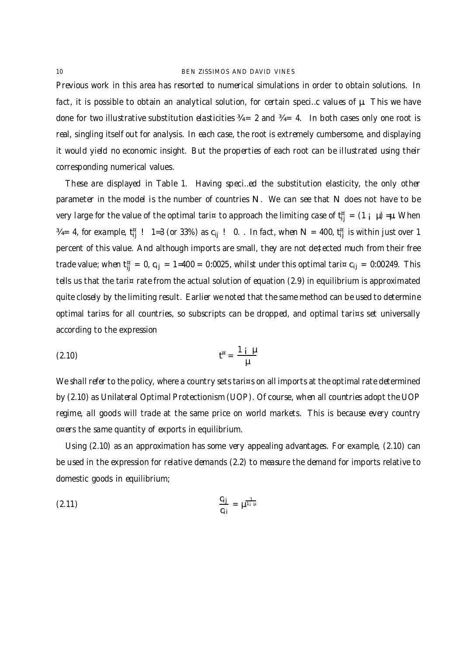Previous work in this area has resorted to numerical simulations in order to obtain solutions. In fact, it is possible to obtain an analytical solution, for certain speci…c values of µ. This we have done for two illustrative substitution elasticities  $\frac{3}{4} = 2$  and  $\frac{3}{4} = 4$ . In both cases only one root is real, singling itself out for analysis. In each case, the root is extremely cumbersome, and displaying it would yield no economic insight. But the properties of each root can be illustrated using their corresponding numerical values.

These are displayed in Table 1. Having speci…ed the substitution elasticity, the only other parameter in the model is the number of countries N. We can see that N does not have to be very large for the value of the optimal tari¤ to approach the limiting case of  ${\sf t}^{\tt\tt\tt\tt\tt\tt} _{ij}=(1$   $_{\sf I}\,$   $\mu)$  =µ. When  $\% = 4$ , for example, t $_{\rm ij}^{\rm g}$  !  $\,$  1=3 (or 33%) as  ${\rm c_{\rm ij}}$  !  $\,$  0.  $\,$  . In fact, when N  $\,$  = 400, t $_{\rm ij}^{\rm g}$  is within just over 1 percent of this value. And although imports are small, they are not de‡ected much from their free trade value; when t $^{\tt\tt\tt\tt\tt\tt\tt\tt}{}_{ij} = 0$ , c<sub>ij</sub> = 1=400 = 0:0025, whilst under this optimal tari¤ c<sub>ij</sub> = 0:00249. This tells us that the tari¤ rate from the actual solution of equation (2.9) in equilibrium is approximated quite closely by the limiting result. Earlier we noted that the same method can be used to determine optimal tari¤s for all countries, so subscripts can be dropped, and optimal tari¤s set universally according to the expression

$$
t^{n} = \frac{1+i\mu}{\mu}
$$

We shall refer to the policy, where a country sets tari¤s on all imports at the optimal rate determined by (2.10) as Unilateral Optimal Protectionism (UOP). Of course, when all countries adopt the UOP regime, all goods will trade at the same price on world markets. This is because every country o¤ers the same quantity of exports in equilibrium.

Using (2.10) as an approximation has some very appealing advantages. For example, (2.10) can be used in the expression for relative demands (2.2) to measure the demand for imports relative to domestic goods in equilibrium;

(2.11) 
$$
\frac{c_{ij}}{c_{ii}} = \mu^{\frac{1}{1+\mu}}
$$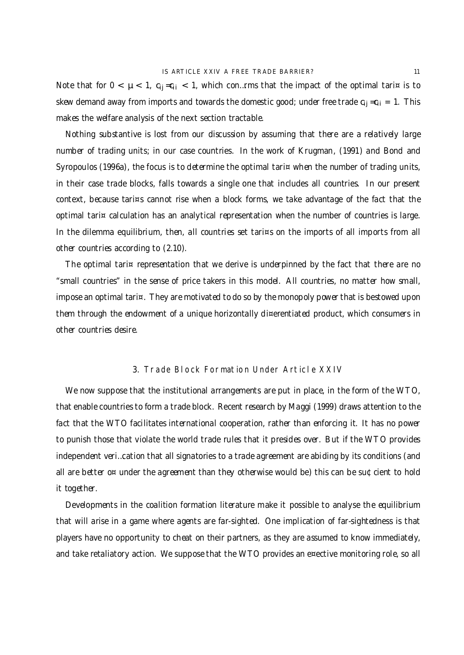Note that for  $0 < \mu < 1$ ,  $c_{ij} = c_{ii} < 1$ , which con... rms that the impact of the optimal tari¤ is to skew demand away from imports and towards the domestic good; under free trade  $c_{ij}=c_{ii} = 1$ . This makes the welfare analysis of the next section tractable.

Nothing substantive is lost from our discussion by assuming that there are a relatively large number of trading units; in our case countries. In the work of Krugman, (1991) and Bond and Syropoulos (1996a), the focus is to determine the optimal tari¤ when the number of trading units, in their case trade blocks, falls towards a single one that includes all countries. In our present context, because tari¤s cannot rise when a block forms, we take advantage of the fact that the optimal tari¤ calculation has an analytical representation when the number of countries is large. In the dilemma equilibrium, then, all countries set tari¤s on the imports of all imports from all other countries according to (2.10).

The optimal tari¤ representation that we derive is underpinned by the fact that there are no "small countries" in the sense of price takers in this model. All countries, no matter how small, impose an optimal tari¤. They are motivated to do so by the monopoly power that is bestowed upon them through the endowment of a unique horizontally di¤erentiated product, which consumers in other countries desire.

### 3. Trade Block Formation Under Article XXIV

We now suppose that the institutional arrangements are put in place, in the form of the WTO, that enable countries to form a trade block. Recent research by Maggi (1999) draws attention to the fact that the WTO facilitates international cooperation, rather than enforcing it. It has no power to punish those that violate the world trade rules that it presides over. But if the WTO provides independent veri…cation that all signatories to a trade agreement are abiding by its conditions (and all are better o¤ under the agreement than they otherwise would be) this can be su¢cient to hold it together.

Developments in the coalition formation literature make it possible to analyse the equilibrium that will arise in a game where agents are far-sighted. One implication of far-sightedness is that players have no opportunity to cheat on their partners, as they are assumed to know immediately, and take retaliatory action. We suppose that the WTO provides an e¤ective monitoring role, so all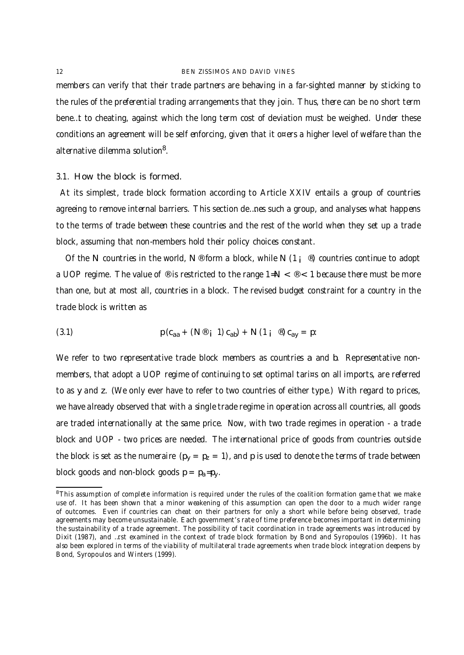members can verify that their trade partners are behaving in a far-sighted manner by sticking to the rules of the preferential trading arrangements that they join. Thus, there can be no short term bene…t to cheating, against which the long term cost of deviation must be weighed. Under these conditions an agreement will be self enforcing, given that it o¤ers a higher level of welfare than the alternative dilemma solution<sup>8</sup>.

## 3.1. How the block is formed.

At its simplest, trade block formation according to Article XXIV entails a group of countries agreeing to remove internal barriers. This section de…nes such a group, and analyses what happens to the terms of trade between these countries and the rest of the world when they set up a trade block, assuming that non-members hold their policy choices constant.

Of the N countries in the world,  $N$ <sup>®</sup> form a block, while N (1; <sup>®</sup>) countries continue to adopt a UOP regime. The value of  $\circledast$  is restricted to the range 1=N  $\lt \circledast$   $\lt$  1 because there must be more than one, but at most all, countries in a block. The revised budget constraint for a country in the trade block is written as

(3.1) 
$$
p (c_{aa} + (N^{\circledast} i 1) c_{ab}) + N (1 i^{\circledast}) c_{ay} = p.
$$

We refer to two representative trade block members as countries a and b. Representative nonmembers, that adopt a UOP regime of continuing to set optimal tari¤s on all imports, are referred to as y and z. (We only ever have to refer to two countries of either type.) With regard to prices, we have already observed that with a single trade regime in operation across all countries, all goods are traded internationally at the same price. Now, with two trade regimes in operation - a trade block and UOP - two prices are needed. The international price of goods from countries outside the block is set as the numeraire  $(p_v = p_z = 1)$ , and p is used to denote the terms of trade between block goods and non-block goods  $p = p_a = p_v$ .

<sup>&</sup>lt;sup>8</sup>This assumption of complete information is required under the rules of the coalition formation game that we make use of. It has been shown that a minor weakening of this assumption can open the door to a much wider range of outcomes. Even if countries can cheat on their partners for only a short while before being observed, trade agreements may become unsustainable. Each government's rate of time preference becomes important in determining the sustainability of a trade agreement. The possibility of tacit coordination in trade agreements was introduced by Dixit (1987), and …rst examined in the context of trade block formation by Bond and Syropoulos (1996b). It has also been explored in terms of the viability of multilateral trade agreements when trade block integration deepens by Bond, Syropoulos and Winters (1999).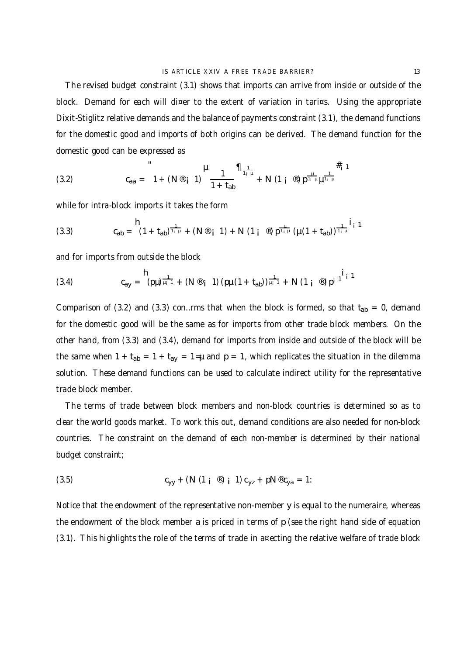The revised budget constraint (3.1) shows that imports can arrive from inside or outside of the block. Demand for each will di¤er to the extent of variation in tari¤s. Using the appropriate Dixit-Stiglitz relative demands and the balance of payments constraint (3.1), the demand functions for the domestic good and imports of both origins can be derived. The demand function for the domestic good can be expressed as

(3.2) 
$$
c_{aa} = 1 + (N^{\circledast} i 1) \frac{\mu}{1 + t_{ab}} \frac{1}{1 + t_{ab}} + N (1 i^{\circledast}) p^{\frac{\mu}{1 + \mu}} \mu^{\frac{1}{1 + \mu}}
$$

while for intra-block imports it takes the form

(3.3) 
$$
c_{ab} = (1 + t_{ab})^{\frac{1}{1 + \mu}} + (N^{\circledast} + 1) + N (1 + \circledast) p^{\frac{1}{1 + \mu}} (\mu (1 + t_{ab}))^{\frac{1}{1 + \mu}} i_{1}^{1}
$$

and for imports from outside the block

(3.4) 
$$
c_{ay} = {h \choose (p\mu)^{\frac{1}{\mu_i - 1}}} + (N \otimes_{j} 1) (p\mu (1 + t_{ab}))^{\frac{1}{\mu_i - 1}} + N (1 \text{ i } \otimes) p^{j} \text{ }^{j}
$$

Comparison of (3.2) and (3.3) con...rms that when the block is formed, so that  $t_{ab} = 0$ , demand for the domestic good will be the same as for imports from other trade block members. On the other hand, from (3.3) and (3.4), demand for imports from inside and outside of the block will be the same when  $1 + t_{ab} = 1 + t_{ay} = 1 = \mu$  and  $p = 1$ , which replicates the situation in the dilemma solution. These demand functions can be used to calculate indirect utility for the representative trade block member.

The terms of trade between block members and non-block countries is determined so as to clear the world goods market. To work this out, demand conditions are also needed for non-block countries. The constraint on the demand of each non-member is determined by their national budget constraint;

(3.5) 
$$
c_{yy} + (N (1 i \circledcirc) i 1) c_{yz} + pN \circledcirc c_{ya} = 1:
$$

Notice that the endowment of the representative non-member y is equal to the numeraire, whereas the endowment of the block member a is priced in terms of p (see the right hand side of equation (3.1). This highlights the role of the terms of trade in a¤ecting the relative welfare of trade block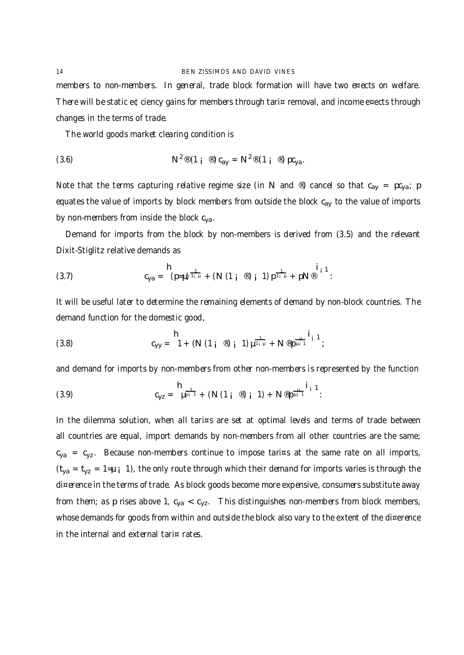members to non-members. In general, trade block formation will have two e¤ects on welfare. There will be static e¢ciency gains for members through tari¤ removal, and income e¤ects through changes in the terms of trade.

The world goods market clearing condition is

(3.6) 
$$
N^{2\otimes}(1\mathbf{i}^{\otimes})c_{ay} = N^{2\otimes}(1\mathbf{i}^{\otimes})pc_{ya}.
$$

Note that the terms capturing relative regime size (in N and ®) cancel so that  $c_{av} = pc_{va}$ ; p equates the value of imports by block members from outside the block c<sub>ay</sub> to the value of imports by non-members from inside the block c<sub>ya</sub>.

Demand for imports from the block by non-members is derived from (3.5) and the relevant Dixit-Stiglitz relative demands as

(3.7) 
$$
c_{ya} = \frac{h}{(p-\mu)^{\frac{1}{1+\mu}}} + (N (1 + \mathbb{P}) i 1) p^{\frac{1}{1+\mu}} + pN^{\mathbb{P}} i 1.
$$

It will be useful later to determine the remaining elements of demand by non-block countries. The demand function for the domestic good,

(3.8) 
$$
c_{yy} = 1 + (N (1_i \circledast)_i 1) \mu^{\frac{1}{1_i \mu}} + N \circledast \mu^{\frac{1}{\mu_i 1}};
$$

and demand for imports by non-members from other non-members is represented by the function

(3.9) 
$$
c_{yz} = \mu^{\frac{1}{\mu_{i}-1}} + (N (1_{i} \circledast)_{i} 1) + N \circledast \mu^{\frac{1}{\mu_{i}-1}} i_{i} 1.
$$

In the dilemma solution, when all tari¤s are set at optimal levels and terms of trade between all countries are equal, import demands by non-members from all other countries are the same;  $\rm c_{ya}$  =  $\rm c_{yz}$ . Because non-members continue to impose tari¤s at the same rate on all imports,  $(t_{ya} = t_{yz} = 1=\mu i$  1), the only route through which their demand for imports varies is through the di¤erence in the terms of trade. As block goods become more expensive, consumers substitute away from them; as p rises above 1,  $c_{ya} < c_{yz}$ . This distinguishes non-members from block members, whose demands for goods from within and outside the block also vary to the extent of the di¤erence in the internal and external tari¤ rates.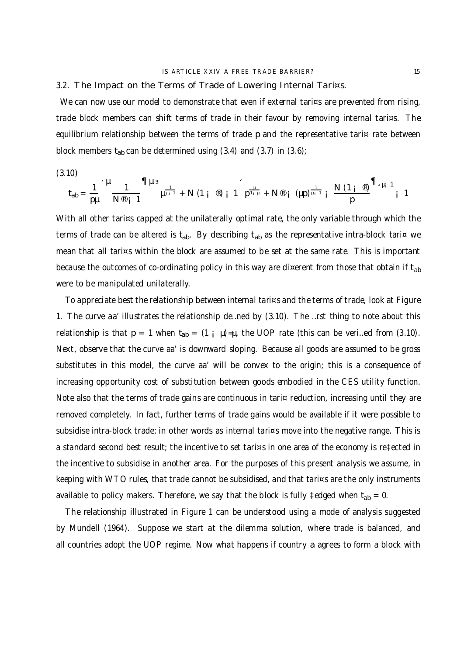3.2. The Impact on the Terms of Trade of Lowering Internal Tari¤s.

We can now use our model to demonstrate that even if external tari¤s are prevented from rising, trade block members can shift terms of trade in their favour by removing internal tari¤s. The equilibrium relationship between the terms of trade p and the representative tari¤ rate between block members  $t_{ab}$  can be determined using (3.4) and (3.7) in (3.6);

(3.10)

$$
t_{ab} = \frac{1}{p\mu} \int_{1}^{p\mu} \frac{1}{N^{\circledast} i} \int_{1}^{\pi} \mu^{\frac{1}{p+1}} + N (1 \, i \, \circledast) \, i \, 1 \, p^{\frac{1}{1+\mu}} + N^{\circledast} \, i \, (\mu p)^{\frac{1}{\mu_1 - 1}} \, i \, \frac{N (1 \, i \, \circledast)}{p}^{\pi} \, \frac{N_{a} \, \mu_1 \, 1}{i \, 1}
$$

With all other tari¤s capped at the unilaterally optimal rate, the only variable through which the terms of trade can be altered is t<sub>ab</sub>. By describing t<sub>ab</sub> as the representative intra-block tari¤ we mean that all tari¤s within the block are assumed to be set at the same rate. This is important because the outcomes of co-ordinating policy in this way are di¤erent from those that obtain if  $t_{ab}$ were to be manipulated unilaterally.

To appreciate best the relationship between internal tari¤s and the terms of trade, look at Figure 1. The curve aa' illustrates the relationship de…ned by (3.10). The …rst thing to note about this relationship is that  $p = 1$  when  $t_{ab} = (1 \mu) = \mu$ , the UOP rate (this can be veri...ed from (3.10). Next, observe that the curve aa' is downward sloping. Because all goods are assumed to be gross substitutes in this model, the curve aa' will be convex to the origin; this is a consequence of increasing opportunity cost of substitution between goods embodied in the CES utility function. Note also that the terms of trade gains are continuous in tari¤ reduction, increasing until they are removed completely. In fact, further terms of trade gains would be available if it were possible to subsidise intra-block trade; in other words as internal tari¤s move into the negative range. This is a standard second best result; the incentive to set tari¤s in one area of the economy is re‡ected in the incentive to subsidise in another area. For the purposes of this present analysis we assume, in keeping with WTO rules, that trade cannot be subsidised, and that tari¤s are the only instruments available to policy makers. Therefore, we say that the block is fully ‡edged when  $t_{ab} = 0$ .

The relationship illustrated in Figure 1 can be understood using a mode of analysis suggested by Mundell (1964). Suppose we start at the dilemma solution, where trade is balanced, and all countries adopt the UOP regime. Now what happens if country a agrees to form a block with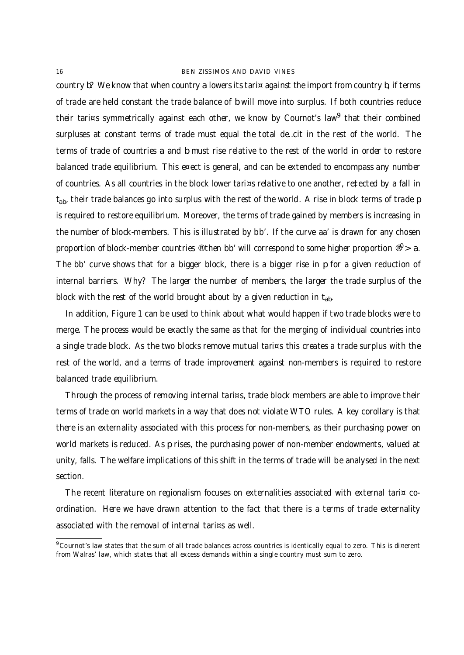country b? We know that when country a lowers its tari¤ against the import from country b, if terms of trade are held constant the trade balance of b will move into surplus. If both countries reduce their tari¤s symmetrically against each other, we know by Cournot's law<sup>9</sup> that their combined surpluses at constant terms of trade must equal the total de…cit in the rest of the world. The terms of trade of countries a and b must rise relative to the rest of the world in order to restore balanced trade equilibrium. This e¤ect is general, and can be extended to encompass any number of countries. As all countries in the block lower tari¤s relative to one another, re‡ected by a fall in  $\mathsf{t}_{\mathsf{ab}}$ , their trade balances go into surplus with the rest of the world. A rise in block terms of trade p is required to restore equilibrium. Moreover, the terms of trade gained by members is increasing in the number of block-members. This is illustrated by bb'. If the curve aa' is drawn for any chosen proportion of block-member countries ® then bb' will correspond to some higher proportion ®  $>$  a. The bb' curve shows that for a bigger block, there is a bigger rise in p for a given reduction of internal barriers. Why? The larger the number of members, the larger the trade surplus of the block with the rest of the world brought about by a given reduction in  $t_{ab}$ .

In addition, Figure 1 can be used to think about what would happen if two trade blocks were to merge. The process would be exactly the same as that for the merging of individual countries into a single trade block. As the two blocks remove mutual tari¤s this creates a trade surplus with the rest of the world, and a terms of trade improvement against non-members is required to restore balanced trade equilibrium.

Through the process of removing internal tari¤s, trade block members are able to improve their terms of trade on world markets in a way that does not violate WTO rules. A key corollary is that there is an externality associated with this process for non-members, as their purchasing power on world markets is reduced. As p rises, the purchasing power of non-member endowments, valued at unity, falls. The welfare implications of this shift in the terms of trade will be analysed in the next section.

The recent literature on regionalism focuses on externalities associated with external tari¤ coordination. Here we have drawn attention to the fact that there is a terms of trade externality associated with the removal of internal tari¤s as well.

<sup>9</sup> Cournot's law states that the sum of all trade balances across countries is identically equal to zero. This is di¤erent from Walras' law, which states that all excess demands within a single country must sum to zero.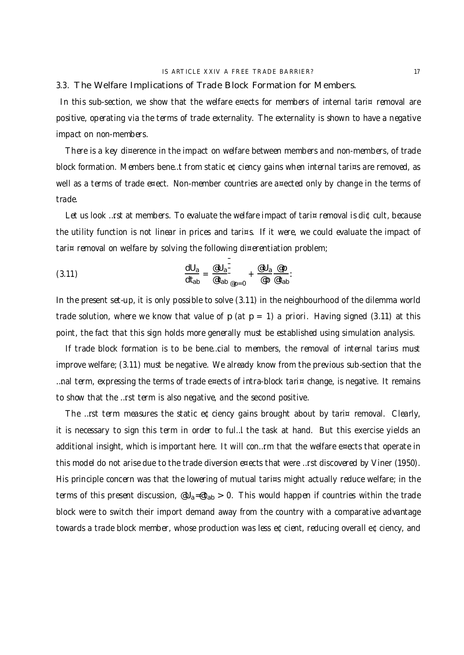#### 3.3. The Welfare Implications of Trade Block Formation for Members.

In this sub-section, we show that the welfare e¤ects for members of internal tari¤ removal are positive, operating via the terms of trade externality. The externality is shown to have a negative impact on non-members.

There is a key di¤erence in the impact on welfare between members and non-members, of trade block formation. Members bene…t from static e¢ciency gains when internal tari¤s are removed, as well as a terms of trade e¤ect. Non-member countries are a¤ected only by change in the terms of trade.

Let us look …rst at members. To evaluate the welfare impact of tari $\alpha$  removal is di $\beta$  cult, because the utility function is not linear in prices and tari¤s. If it were, we could evaluate the impact of tari¤ removal on welfare by solving the following di¤erentiation problem;

(3.11) 
$$
\frac{dU_a}{dt_{ab}} = \frac{\omega U_a}{\omega t_{ab}} + \frac{\omega U_a}{\omega p} + \frac{\omega U_a}{\omega p} \frac{\omega p}{\omega t_{ab}}.
$$

In the present set-up, it is only possible to solve (3.11) in the neighbourhood of the dilemma world trade solution, where we know that value of p (at  $p = 1$ ) a priori. Having signed (3.11) at this point, the fact that this sign holds more generally must be established using simulation analysis.

If trade block formation is to be bene...cial to members, the removal of internal tari¤s must improve welfare; (3.11) must be negative. We already know from the previous sub-section that the …nal term, expressing the terms of trade e¤ects of intra-block tari¤ change, is negative. It remains to show that the …rst term is also negative, and the second positive.

The …rst term measures the static e¢ciency gains brought about by tari¤ removal. Clearly, it is necessary to sign this term in order to ful…l the task at hand. But this exercise yields an additional insight, which is important here. It will con…rm that the welfare e¤ects that operate in this model do not arise due to the trade diversion e¤ects that were …rst discovered by Viner (1950). His principle concern was that the lowering of mutual tari¤s might actually reduce welfare; in the terms of this present discussion,  $\mathscr{A}_{a}=\mathscr{A}_{ab} > 0$ . This would happen if countries within the trade block were to switch their import demand away from the country with a comparative advantage towards a trade block member, whose production was less e¢cient, reducing overall e¢ciency, and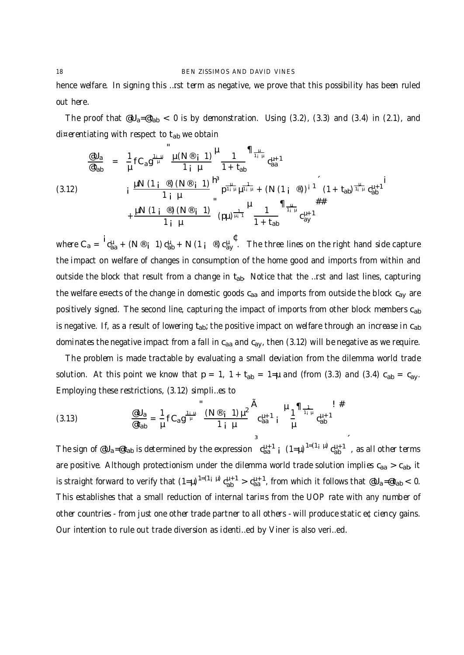hence welfare. In signing this …rst term as negative, we prove that this possibility has been ruled out here.

The proof that  $\mathscr{A}U_{a}=\mathscr{A}_{ab} < 0$  is by demonstration. Using (3.2), (3.3) and (3.4) in (2.1), and di¤erentiating with respect to  $t_{ab}$  we obtain

$$
\frac{\text{d}U_{a}}{\text{d}t_{ab}} = \frac{1}{\mu} f C_{a} g^{\frac{1-\mu}{\mu}} \frac{\mu(N^{\circledast} + 1)}{1 + \mu} \frac{1}{1 + t_{ab}} \eta_{\frac{\mu}{1 + \mu}}^{1 - \frac{\mu}{1 + \mu}} c_{aa}^{\mu + 1}
$$
\n(3.12)\n  
\n
$$
i \frac{\mu N (1 + \circledast) (N^{\circledast} + 1)}{1 + \mu} \ln \eta_{\frac{1}{1 + \mu}}^{1 - \frac{1}{1 + \mu}} + (N (1 + \circledast))^{i - 1} (1 + t_{ab})^{\frac{1}{1 + \mu}} c_{ab}^{\mu + 1}
$$
\n
$$
+ \frac{\mu N (1 + \circledast) (N^{\circledast} + 1)}{1 + \mu} (p\mu)^{\frac{1}{\mu + 1}} \frac{1}{1 + t_{ab}} \eta_{\frac{1}{1 + \mu}}^{1 + \frac{\mu}{1 + \mu}} c_{ay}^{\mu + 1}
$$

where  $C_a = {}^1C_{aa}^{\mu} + (N \circ i 1) C_{ab}^{\mu} + N (1 i \circ j) C_{ay}^{\mu}$ . The three lines on the right hand side capture the impact on welfare of changes in consumption of the home good and imports from within and outside the block that result from a change in  $t_{ab}$ . Notice that the …rst and last lines, capturing the welfare e¤ects of the change in domestic goods  $c_{aa}$  and imports from outside the block  $c_{av}$  are positively signed. The second line, capturing the impact of imports from other block members cab is negative. If, as a result of lowering  $t_{ab}$ ; the positive impact on welfare through an increase in  $c_{ab}$ dominates the negative impact from a fall in  $c_{aa}$  and  $c_{ay}$ , then (3.12) will be negative as we require.

The problem is made tractable by evaluating a small deviation from the dilemma world trade solution. At this point we know that  $p = 1$ ,  $1 + t_{ab} = 1$ =µ and (from (3.3) and (3.4)  $c_{ab} = c_{ay}$ . Employing these restrictions, (3.12) simpli…es to

(3.13) 
$$
\frac{\text{d} U_a}{\text{d} t_{ab}} = \frac{1}{\mu} f C_a g^{\frac{1+\mu}{\mu}} \frac{(N^{\text{d}} + 1) \mu^2}{1 \mu} \frac{A}{c_{aa}^{\mu+1}} \mu \frac{1}{\mu} \frac{1}{c_{ab}^{\mu+1}} \frac{H}{c_{ab}^{\mu+1}}
$$

The sign of  $@U_a=@t_{ab}$  is determined by the expression  $c_{aa}^{\mu+1}$  j  $(1=\mu)^{1=(1+\mu)}c_{ab}^{\mu+1}$ ´ , as all other terms are positive. Although protectionism under the dilemma world trade solution implies  $c_{aa} > c_{ab}$ , it is straight forward to verify that  $(1=\mu)^{1=(1+i)} c_{ab}^{\mu+1} > c_{aa}^{\mu+1}$ , from which it follows that  $eU_a = eV_{ab} < 0$ . This establishes that a small reduction of internal tari¤s from the UOP rate with any number of other countries - from just one other trade partner to all others - will produce static e¢ciency gains. Our intention to rule out trade diversion as identi…ed by Viner is also veri…ed.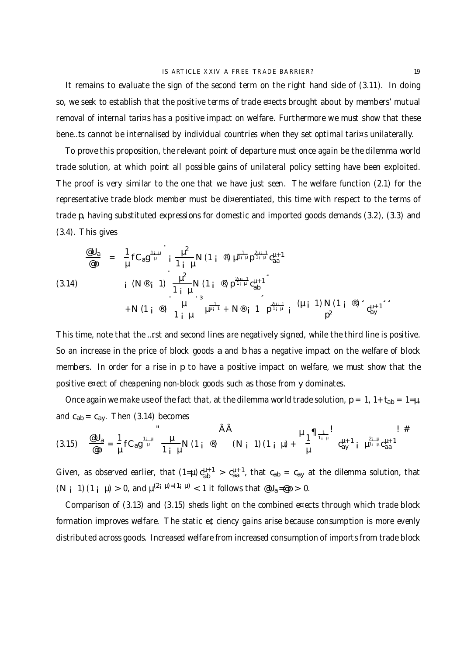It remains to evaluate the sign of the second term on the right hand side of (3.11). In doing so, we seek to establish that the positive terms of trade e¤ects brought about by members' mutual removal of internal tari¤s has a positive impact on welfare. Furthermore we must show that these bene…ts cannot be internalised by individual countries when they set optimal tari¤s unilaterally.

To prove this proposition, the relevant point of departure must once again be the dilemma world trade solution, at which point all possible gains of unilateral policy setting have been exploited. The proof is very similar to the one that we have just seen. The welfare function (2.1) for the representative trade block member must be di¤erentiated, this time with respect to the terms of trade p, having substituted expressions for domestic and imported goods demands (3.2), (3.3) and (3.4). This gives

@U<sup>a</sup> @p = 1 µ fCag 1¡µ µ ¡ µ 2 1 ¡ µ N (1 ¡®) µ 1 <sup>1</sup>¡<sup>µ</sup> p 2µ¡1 <sup>1</sup>¡<sup>µ</sup> c µ+1 aa ¡(N® ¡ 1) µ 2 1 ¡µ N (1 ¡ ®) p 2µ¡1 <sup>1</sup>¡<sup>µ</sup> c µ+1 ab ¸ (3.14) +N (1 ¡®) µ 1 ¡µ ·³ µ 1 <sup>µ</sup>¡<sup>1</sup> + N® ¡1 p 2µ¡1 <sup>1</sup>¡<sup>µ</sup> ¡ (µ ¡1) N (1 ¡®) p 2 ¸ c µ+1 ay ¸¸

This time, note that the …rst and second lines are negatively signed, while the third line is positive. So an increase in the price of block goods a and b has a negative impact on the welfare of block members. In order for a rise in p to have a positive impact on welfare, we must show that the positive e¤ect of cheapening non-block goods such as those from y dominates.

Once again we make use of the fact that, at the dilemma world trade solution,  $p = 1$ ,  $1 + t_{ab} = 1 = \mu$ , and  $c_{ab} = c_{ay}$ . Then (3.14) becomes

(3.15) 
$$
\frac{\omega U_a}{\omega p} = \frac{1}{\mu} f C_a g^{\frac{1+\mu}{\mu}} \frac{\mu}{1+\mu} N (1 + \omega) \qquad (N + 1) (1 + \mu) + \frac{\mu_1}{\mu} \eta_{\frac{1}{1+\mu}} \qquad c_{ay}^{\mu+1} i \mu_{\text{rad}}^{\frac{2+\mu}{\mu} c_{\text{rad}}^{\mu+1}}
$$

Given, as observed earlier, that  $(1=\mu) c_{ab}^{\mu+1} > c_{aa}^{\mu+1}$ , that  $c_{ab} = c_{ay}$  at the dilemma solution, that  $(N_i 1)(1_i \mu) > 0$ , and  $\mu^{(2_i \mu) = (1_i \mu)} < 1$  it follows that  $\omega_{a} = \omega p > 0$ .

Comparison of (3.13) and (3.15) sheds light on the combined e¤ects through which trade block formation improves welfare. The static e¢ciency gains arise because consumption is more evenly distributed across goods. Increased welfare from increased consumption of imports from trade block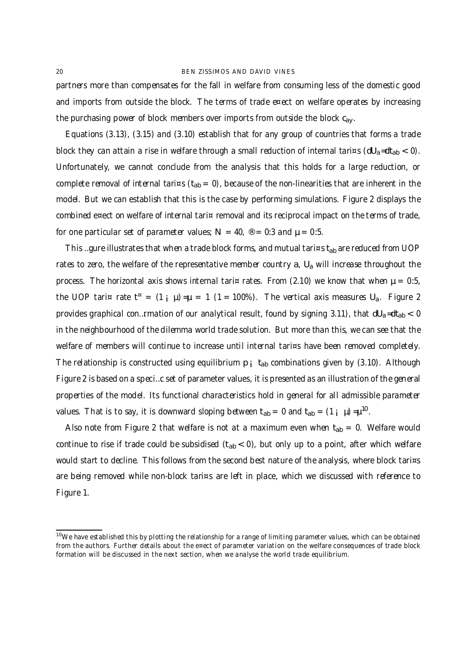partners more than compensates for the fall in welfare from consuming less of the domestic good and imports from outside the block. The terms of trade e¤ect on welfare operates by increasing the purchasing power of block members over imports from outside the block  $c_{av}$ .

Equations (3.13), (3.15) and (3.10) establish that for any group of countries that forms a trade block they can attain a rise in welfare through a small reduction of internal tari¤s ( $dU_a = dt_{ab} < 0$ ). Unfortunately, we cannot conclude from the analysis that this holds for a large reduction, or complete removal of internal tari¤s ( $t_{ab} = 0$ ), because of the non-linearities that are inherent in the model. But we can establish that this is the case by performing simulations. Figure 2 displays the combined e¤ect on welfare of internal tari¤ removal and its reciprocal impact on the terms of trade, for one particular set of parameter values;  $N = 40$ ,  $\textcircled{e} = 0:3$  and  $\mu = 0:5$ .

This …gure illustrates that when a trade block forms, and mutual tari¤s t<sub>ab</sub> are reduced from UOP rates to zero, the welfare of the representative member country  $a$ ,  $U_a$  will increase throughout the process. The horizontal axis shows internal tari¤ rates. From (2.10) we know that when  $\mu = 0.5$ , the UOP tari¤ rate t  $(1 + \mu) = \mu = 1$  (1 = 100%). The vertical axis measures U<sub>a</sub>. Figure 2 provides graphical con...rmation of our analytical result, found by signing 3.11), that  $dU_a = dt_{ab} < 0$ in the neighbourhood of the dilemma world trade solution. But more than this, we can see that the welfare of members will continue to increase until internal tari¤s have been removed completely. The relationship is constructed using equilibrium  $p_i$  t<sub>ab</sub> combinations given by (3.10). Although Figure 2 is based on a speci…c set of parameter values, it is presented as an illustration of the general properties of the model. Its functional characteristics hold in general for all admissible parameter values. That is to say, it is downward sloping between  $t_{ab} = 0$  and  $t_{ab} = (1 + \mu) = \mu^{10}$ .

Also note from Figure 2 that welfare is not at a maximum even when  $t_{ab} = 0$ . Welfare would continue to rise if trade could be subsidised  $(t_{ab} < 0)$ , but only up to a point, after which welfare would start to decline. This follows from the second best nature of the analysis, where block tari¤s are being removed while non-block tari¤s are left in place, which we discussed with reference to Figure 1.

<sup>&</sup>lt;sup>10</sup>We have established this by plotting the relationship for a range of limiting parameter values, which can be obtained from the authors. Further details about the e¤ect of parameter variation on the welfare consequences of trade block formation will be discussed in the next section, when we analyse the world trade equilibrium.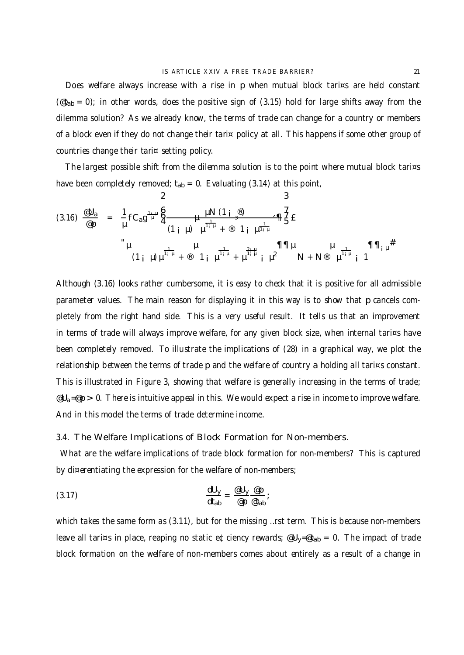Does welfare always increase with a rise in p when mutual block tari¤s are held constant  $(\text{et}_{ab} = 0)$ ; in other words, does the positive sign of (3.15) hold for large shifts away from the dilemma solution? As we already know, the terms of trade can change for a country or members of a block even if they do not change their tari¤ policy at all. This happens if some other group of countries change their tari¤ setting policy.

The largest possible shift from the dilemma solution is to the point where mutual block tari¤s have been completely removed;  $t_{ab} = 0$ . Evaluating (3.14) at this point,

$$
(3.16) \frac{\omega_{0}}{\omega_{p}} = \frac{1}{\mu} f C_{a} g^{\frac{1+\mu}{\mu}} \frac{\xi}{4} \frac{\mu N (1 \frac{\omega}{3})}{(1 + \mu) \mu^{\frac{1}{1+\mu}} + \omega} \frac{\eta}{4} \frac{\xi}{4} E
$$
\n
$$
\mu \frac{1}{(1 + \mu) \mu^{\frac{1}{1+\mu}} + \omega} \mu \frac{\eta}{1 + \mu^{\frac{2+\mu}{1+\mu}} + \mu^{\frac{2+\mu}{1+\mu}} + \mu^2} \frac{\eta}{N + N^{\circ}} \mu \frac{1}{1 + \mu} \frac{\eta}{1 + \mu} \frac{\eta}{1 + \mu} \frac{\eta}{1 + \mu} \frac{\eta}{1 + \mu} \frac{\eta}{1 + \mu} \frac{\eta}{1 + \mu} \frac{\eta}{1 + \mu} \frac{\eta}{1 + \mu} \frac{\eta}{1 + \mu} \frac{\eta}{1 + \mu} \frac{\eta}{1 + \mu} \frac{\eta}{1 + \mu} \frac{\eta}{1 + \mu} \frac{\eta}{1 + \mu} \frac{\eta}{1 + \mu} \frac{\eta}{1 + \mu} \frac{\eta}{1 + \mu} \frac{\eta}{1 + \mu} \frac{\eta}{1 + \mu} \frac{\eta}{1 + \mu} \frac{\eta}{1 + \mu} \frac{\eta}{1 + \mu} \frac{\eta}{1 + \mu} \frac{\eta}{1 + \mu} \frac{\eta}{1 + \mu} \frac{\eta}{1 + \mu} \frac{\eta}{1 + \mu} \frac{\eta}{1 + \mu} \frac{\eta}{1 + \mu} \frac{\eta}{1 + \mu} \frac{\eta}{1 + \mu} \frac{\eta}{1 + \mu} \frac{\eta}{1 + \mu} \frac{\eta}{1 + \mu} \frac{\eta}{1 + \mu} \frac{\eta}{1 + \mu} \frac{\eta}{1 + \mu} \frac{\eta}{1 + \mu} \frac{\eta}{1 + \mu} \frac{\eta}{1 + \mu} \frac{\eta}{1 + \mu} \frac{\eta}{1 + \mu} \frac{\eta}{1 + \mu} \frac{\eta}{1 + \mu} \frac{\eta}{1 + \mu} \frac{\eta}{1 + \mu} \frac{\eta}{1 + \mu} \frac{\eta}{1 + \mu} \frac{\eta}{1 + \mu} \frac{\eta}{1 + \mu} \frac{\eta}{1 + \mu} \frac{\eta}{1 + \mu} \frac{\eta}{1 + \mu} \frac{\eta}{1 + \mu} \frac{\eta}{1 + \mu} \
$$

Although (3.16) looks rather cumbersome, it is easy to check that it is positive for all admissible parameter values. The main reason for displaying it in this way is to show that p cancels completely from the right hand side. This is a very useful result. It tells us that an improvement in terms of trade will always improve welfare, for any given block size, when internal tari¤s have been completely removed. To illustrate the implications of (28) in a graphical way, we plot the relationship between the terms of trade p and the welfare of country a holding all tari¤s constant. This is illustrated in Figure 3, showing that welfare is generally increasing in the terms of trade;  $\mathcal{Q}_{a}=\mathcal{Q}_{p} > 0$ . There is intuitive appeal in this. We would expect a rise in income to improve welfare. And in this model the terms of trade determine income.

## 3.4. The Welfare Implications of Block Formation for Non-members.

What are the welfare implications of trade block formation for non-members? This is captured by di¤erentiating the expression for the welfare of non-members;

$$
\frac{dU_y}{dt_{ab}} = \frac{eU_y}{e p} \frac{e p}{e t_{ab}};
$$

which takes the same form as (3.11), but for the missing …rst term. This is because non-members leave all tari¤s in place, reaping no static e¢ciency rewards;  $\mathscr{C}U_y=\mathscr{C}t_{ab} = 0$ . The impact of trade block formation on the welfare of non-members comes about entirely as a result of a change in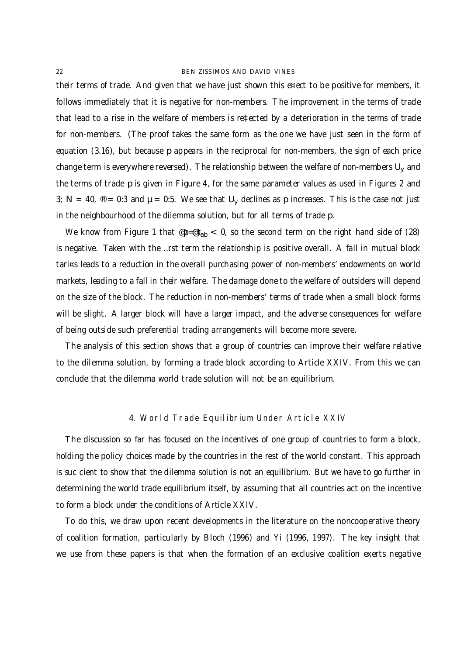their terms of trade. And given that we have just shown this e¤ect to be positive for members, it follows immediately that it is negative for non-members. The improvement in the terms of trade that lead to a rise in the welfare of members is re‡ected by a deterioration in the terms of trade for non-members. (The proof takes the same form as the one we have just seen in the form of equation (3.16), but because p appears in the reciprocal for non-members, the sign of each price change term is everywhere reversed). The relationship between the welfare of non-members  $U_y$  and the terms of trade p is given in Figure 4, for the same parameter values as used in Figures 2 and 3; N = 40,  $\textcircled{8}$  = 0:3 and  $\mu$  = 0:5. We see that U<sub>y</sub> declines as p increases. This is the case not just in the neighbourhood of the dilemma solution, but for all terms of trade p.

We know from Figure 1 that  $\varphi_P = \varphi_{ab} < 0$ , so the second term on the right hand side of (28) is negative. Taken with the …rst term the relationship is positive overall. A fall in mutual block tari¤s leads to a reduction in the overall purchasing power of non-members' endowments on world markets, leading to a fall in their welfare. The damage done to the welfare of outsiders will depend on the size of the block. The reduction in non-members' terms of trade when a small block forms will be slight. A larger block will have a larger impact, and the adverse consequences for welfare of being outside such preferential trading arrangements will become more severe.

The analysis of this section shows that a group of countries can improve their welfare relative to the dilemma solution, by forming a trade block according to Article XXIV. From this we can conclude that the dilemma world trade solution will not be an equilibrium.

## 4. World Trade Equilibrium Under Article XXIV

The discussion so far has focused on the incentives of one group of countries to form a block, holding the policy choices made by the countries in the rest of the world constant. This approach is su¢cient to show that the dilemma solution is not an equilibrium. But we have to go further in determining the world trade equilibrium itself, by assuming that all countries act on the incentive to form a block under the conditions of Article XXIV.

To do this, we draw upon recent developments in the literature on the noncooperative theory of coalition formation, particularly by Bloch (1996) and Yi (1996, 1997). The key insight that we use from these papers is that when the formation of an exclusive coalition exerts negative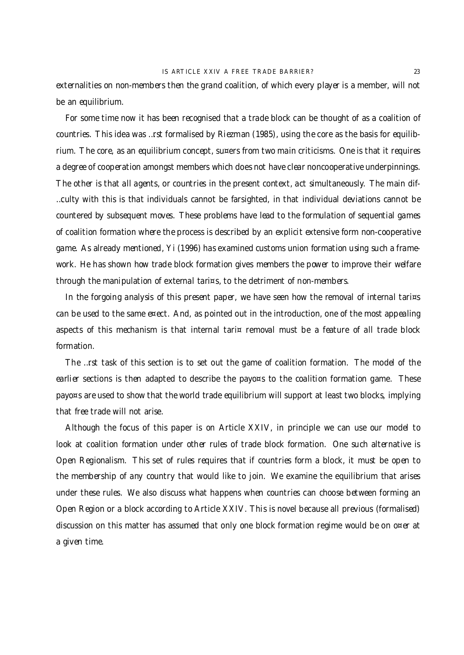externalities on non-members then the grand coalition, of which every player is a member, will not be an equilibrium.

For some time now it has been recognised that a trade block can be thought of as a coalition of countries. This idea was …rst formalised by Riezman (1985), using the core as the basis for equilibrium. The core, as an equilibrium concept, su¤ers from two main criticisms. One is that it requires a degree of cooperation amongst members which does not have clear noncooperative underpinnings. The other is that all agents, or countries in the present context, act simultaneously. The main dif- …culty with this is that individuals cannot be farsighted, in that individual deviations cannot be countered by subsequent moves. These problems have lead to the formulation of sequential games of coalition formation where the process is described by an explicit extensive form non-cooperative game. As already mentioned, Yi (1996) has examined customs union formation using such a framework. He has shown how trade block formation gives members the power to improve their welfare through the manipulation of external tari¤s, to the detriment of non-members.

In the forgoing analysis of this present paper, we have seen how the removal of internal tari¤s can be used to the same e¤ect. And, as pointed out in the introduction, one of the most appealing aspects of this mechanism is that internal tari¤ removal must be a feature of all trade block formation.

The …rst task of this section is to set out the game of coalition formation. The model of the earlier sections is then adapted to describe the payo¤s to the coalition formation game. These payo¤s are used to show that the world trade equilibrium will support at least two blocks, implying that free trade will not arise.

Although the focus of this paper is on Article XXIV, in principle we can use our model to look at coalition formation under other rules of trade block formation. One such alternative is Open Regionalism. This set of rules requires that if countries form a block, it must be open to the membership of any country that would like to join. We examine the equilibrium that arises under these rules. We also discuss what happens when countries can choose between forming an Open Region or a block according to Article XXIV. This is novel because all previous (formalised) discussion on this matter has assumed that only one block formation regime would be on o¤er at a given time.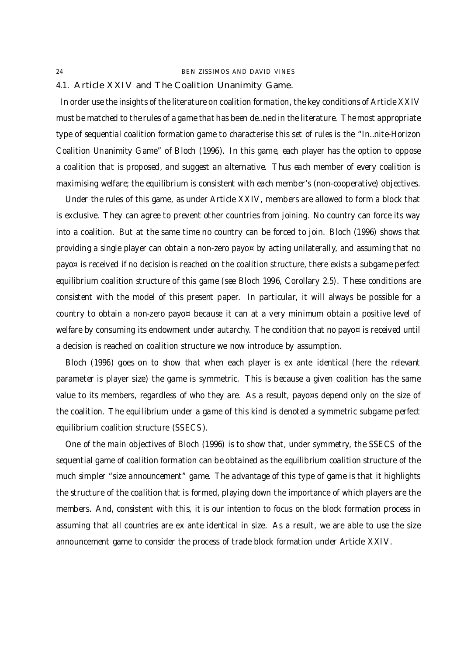### 4.1. Article XXIV and The Coalition Unanimity Game.

In order use the insights of the literature on coalition formation, the key conditions of Article XXIV must be matched to the rules of a game that has been de…ned in the literature. The most appropriate type of sequential coalition formation game to characterise this set of rules is the "In…nite-Horizon Coalition Unanimity Game" of Bloch (1996). In this game, each player has the option to oppose a coalition that is proposed, and suggest an alternative. Thus each member of every coalition is maximising welfare; the equilibrium is consistent with each member's (non-cooperative) objectives.

Under the rules of this game, as under Article XXIV, members are allowed to form a block that is exclusive. They can agree to prevent other countries from joining. No country can force its way into a coalition. But at the same time no country can be forced to join. Bloch (1996) shows that providing a single player can obtain a non-zero payo<sub>¤</sub> by acting unilaterally, and assuming that no payo¤ is received if no decision is reached on the coalition structure, there exists a subgame perfect equilibrium coalition structure of this game (see Bloch 1996, Corollary 2.5). These conditions are consistent with the model of this present paper. In particular, it will always be possible for a country to obtain a non-zero payo¤ because it can at a very minimum obtain a positive level of welfare by consuming its endowment under autarchy. The condition that no payo¤ is received until a decision is reached on coalition structure we now introduce by assumption.

Bloch (1996) goes on to show that when each player is ex ante identical (here the relevant parameter is player size) the game is symmetric. This is because a given coalition has the same value to its members, regardless of who they are. As a result, payo¤s depend only on the size of the coalition. The equilibrium under a game of this kind is denoted a symmetric subgame perfect equilibrium coalition structure (SSECS).

One of the main objectives of Bloch (1996) is to show that, under symmetry, the SSECS of the sequential game of coalition formation can be obtained as the equilibrium coalition structure of the much simpler "size announcement" game. The advantage of this type of game is that it highlights the structure of the coalition that is formed, playing down the importance of which players are the members. And, consistent with this, it is our intention to focus on the block formation process in assuming that all countries are ex ante identical in size. As a result, we are able to use the size announcement game to consider the process of trade block formation under Article XXIV.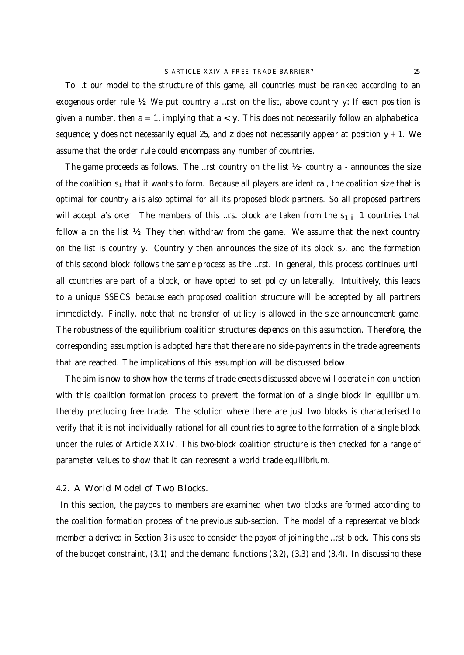To …t our model to the structure of this game, all countries must be ranked according to an exogenous order rule ½. We put country a …rst on the list, above country y: If each position is given a number, then  $a = 1$ , implying that  $a < y$ . This does not necessarily follow an alphabetical sequence; y does not necessarily equal 25, and z does not necessarily appear at position  $y + 1$ . We assume that the order rule could encompass any number of countries.

The game proceeds as follows. The …rst country on the list  $\mathcal{Y}$  - country a - announces the size of the coalition  $s_1$  that it wants to form. Because all players are identical, the coalition size that is optimal for country a is also optimal for all its proposed block partners. So all proposed partners will accept a's o¤er. The members of this …rst block are taken from the  $s_{1}$  i 1 countries that follow a on the list  $\frac{1}{2}$ . They then withdraw from the game. We assume that the next country on the list is country y. Country y then announces the size of its block  $s<sub>2</sub>$ , and the formation of this second block follows the same process as the …rst. In general, this process continues until all countries are part of a block, or have opted to set policy unilaterally. Intuitively, this leads to a unique SSECS because each proposed coalition structure will be accepted by all partners immediately. Finally, note that no transfer of utility is allowed in the size announcement game. The robustness of the equilibrium coalition structures depends on this assumption. Therefore, the corresponding assumption is adopted here that there are no side-payments in the trade agreements that are reached. The implications of this assumption will be discussed below.

The aim is now to show how the terms of trade e¤ects discussed above will operate in conjunction with this coalition formation process to prevent the formation of a single block in equilibrium, thereby precluding free trade. The solution where there are just two blocks is characterised to verify that it is not individually rational for all countries to agree to the formation of a single block under the rules of Article XXIV. This two-block coalition structure is then checked for a range of parameter values to show that it can represent a world trade equilibrium.

## 4.2. A World Model of Two Blocks.

In this section, the payo¤s to members are examined when two blocks are formed according to the coalition formation process of the previous sub-section. The model of a representative block member a derived in Section 3 is used to consider the payo<sub>¤</sub> of joining the ...rst block. This consists of the budget constraint, (3.1) and the demand functions (3.2), (3.3) and (3.4). In discussing these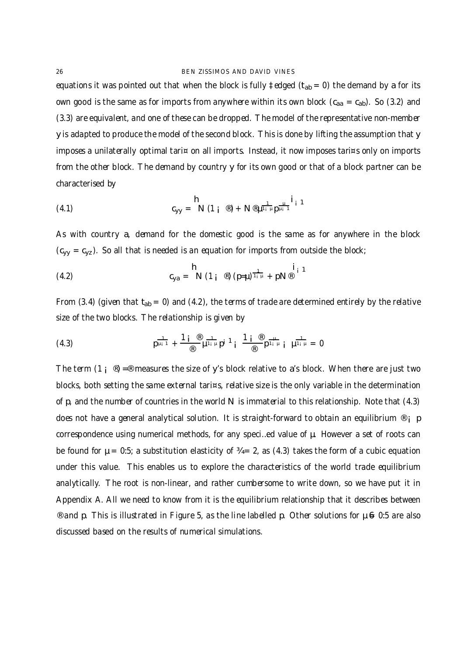equations it was pointed out that when the block is fully  $\ddagger$  edged ( $t_{ab} = 0$ ) the demand by a for its own good is the same as for imports from anywhere within its own block  $(c_{aa} = c_{ab})$ . So (3.2) and (3.3) are equivalent, and one of these can be dropped. The model of the representative non-member y is adapted to produce the model of the second block. This is done by lifting the assumption that y imposes a unilaterally optimal tari¤ on all imports. Instead, it now imposes tari¤s only on imports from the other block. The demand by country y for its own good or that of a block partner can be characterised by

(4.1) 
$$
C_{yy} = N (1_i \circledast) + N \circledast \mu^{\frac{1}{1_i} \mu} \mu^{\frac{\mu}{1_i} 1}
$$

As with country a, demand for the domestic good is the same as for anywhere in the block  $(c_{yy} = c_{yz})$ . So all that is needed is an equation for imports from outside the block;

(4.2) 
$$
c_{ya} = N (1_i \circledast) (p=\mu)^{\frac{1}{1_i \mu}} + pN^{\circledast} i_1
$$

From (3.4) (given that  $t_{ab} = 0$ ) and (4.2), the terms of trade are determined entirely by the relative size of the two blocks. The relationship is given by

(4.3) 
$$
p^{\frac{1}{\mu_i 1}} + \frac{1 i^{\circledR}}{\circledR} \mu^{\frac{1}{1_i \mu}} p^{i}^{\frac{1}{1}} i^{\frac{\circledR}{\circledR}} p^{\frac{\mu}{1_i \mu}} i^{\frac{1}{\mu 1_i \mu}} = 0
$$

The term  $(1 \, \text{if} \, \text{I}) = \text{I} \, \text{I}$  measures the size of y's block relative to a's block. When there are just two blocks, both setting the same external tari¤s, relative size is the only variable in the determination of p, and the number of countries in the world N is immaterial to this relationship. Note that (4.3) does not have a general analytical solution. It is straight-forward to obtain an equilibrium  $\mathcal{O}_i$  p correspondence using numerical methods, for any speci…ed value of µ. However a set of roots can be found for  $\mu = 0.5$ ; a substitution elasticity of  $\mathcal{U} = 2$ , as (4.3) takes the form of a cubic equation under this value. This enables us to explore the characteristics of the world trade equilibrium analytically. The root is non-linear, and rather cumbersome to write down, so we have put it in Appendix A. All we need to know from it is the equilibrium relationship that it describes between  $\degree$  and p. This is illustrated in Figure 5, as the line labelled p. Other solutions for  $\mu \Leftrightarrow 0:5$  are also discussed based on the results of numerical simulations.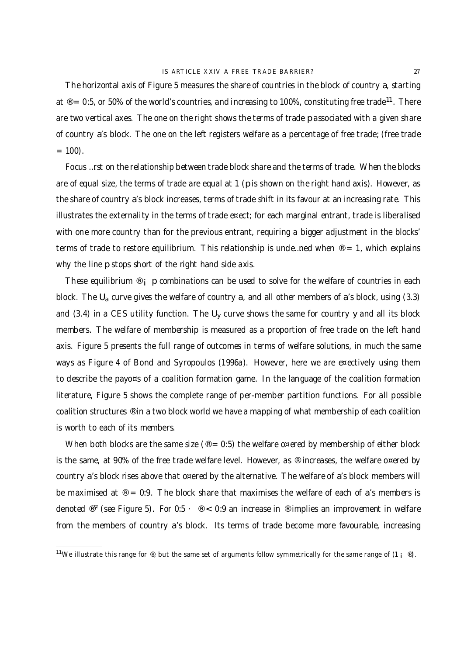The horizontal axis of Figure 5 measures the share of countries in the block of country a, starting at ® = 0:5, or 50% of the world's countries, and increasing to 100%, constituting free trade $^{11}$ . There are two vertical axes. The one on the right shows the terms of trade p associated with a given share of country a's block. The one on the left registers welfare as a percentage of free trade; (free trade  $= 100$ ).

Focus …rst on the relationship between trade block share and the terms of trade. When the blocks are of equal size, the terms of trade are equal at 1 (p is shown on the right hand axis). However, as the share of country a's block increases, terms of trade shift in its favour at an increasing rate. This illustrates the externality in the terms of trade e¤ect; for each marginal entrant, trade is liberalised with one more country than for the previous entrant, requiring a bigger adjustment in the blocks' terms of trade to restore equilibrium. This relationship is unde ... ned when  $\mathcal{Q} = 1$ , which explains why the line p stops short of the right hand side axis.

These equilibrium  $\mathcal{O}_i$  p combinations can be used to solve for the welfare of countries in each block. The  $U_a$  curve gives the welfare of country a, and all other members of a's block, using (3.3) and (3.4) in a CES utility function. The  $U_v$  curve shows the same for country y and all its block members. The welfare of membership is measured as a proportion of free trade on the left hand axis. Figure 5 presents the full range of outcomes in terms of welfare solutions, in much the same ways as Figure 4 of Bond and Syropoulos (1996a). However, here we are e¤ectively using them to describe the payo¤s of a coalition formation game. In the language of the coalition formation literature, Figure 5 shows the complete range of per-member partition functions. For all possible coalition structures ® in a two block world we have a mapping of what membership of each coalition is worth to each of its members.

When both blocks are the same size ( $\textdegree = 0.5$ ) the welfare o¤ered by membership of either block is the same, at 90% of the free trade welfare level. However, as  $\circledast$  increases, the welfare o¤ered by country a's block rises above that o¤ered by the alternative. The welfare of a's block members will be maximised at  $\mathcal{D} = 0.9$ . The block share that maximises the welfare of each of a's members is denoted  $^{\circledR}$  " (see Figure 5). For 0:5  $\cdot \cdot \cdot \cdot \cdot \cdot \cdot \cdot \cdot \cdot \cdot \cdot$  on increase in  $^{\circledR}$  implies an improvement in welfare from the members of country a's block. Its terms of trade become more favourable, increasing

<sup>&</sup>lt;sup>11</sup>We illustrate this range for  $\Phi$ , but the same set of arguments follow symmetrically for the same range of  $(1 + \Phi)$ .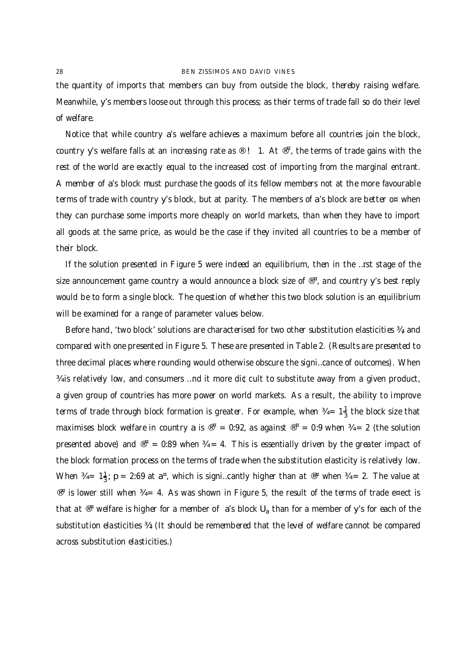the quantity of imports that members can buy from outside the block, thereby raising welfare. Meanwhile, y's members loose out through this process; as their terms of trade fall so do their level of welfare.

Notice that while country a's welfare achieves a maximum before all countries join the block, country y's welfare falls at an increasing rate as ® !  $\,$  1. At  $^{\circledR}$ , the terms of trade gains with the rest of the world are exactly equal to the increased cost of importing from the marginal entrant. A member of a's block must purchase the goods of its fellow members not at the more favourable terms of trade with country y's block, but at parity. The members of a's block are better o¤ when they can purchase some imports more cheaply on world markets, than when they have to import all goods at the same price, as would be the case if they invited all countries to be a member of their block.

If the solution presented in Figure 5 were indeed an equilibrium, then in the …rst stage of the size announcement game country a would announce a block size of ® ¤ , and country y's best reply would be to form a single block. The question of whether this two block solution is an equilibrium will be examined for a range of parameter values below.

Before hand, 'two block' solutions are characterised for two other substitution elasticities  $\frac{3}{4}$ , and compared with one presented in Figure 5. These are presented in Table 2. (Results are presented to three decimal places where rounding would otherwise obscure the signi…cance of outcomes). When ¾ is relatively low, and consumers …nd it more di¢cult to substitute away from a given product, a given group of countries has more power on world markets. As a result, the ability to improve terms of trade through block formation is greater. For example, when  $\frac{3}{4} = 1\frac{1}{3}$  $\frac{1}{3}$  the block size that maximises block welfare in country a is  $^{\circledast}$  = 0:92, as against  $^{\circledast}$  = 0:9 when  $\%$  = 2 (the solution presented above) and  $^{\circledR^{\text{H}}}$  = 0:89 when  $\frac{34}{4}$  = 4. This is essentially driven by the greater impact of the block formation process on the terms of trade when the substitution elasticity is relatively low. When  $\frac{3}{4}$  = 1 $\frac{1}{3}$ ; p = 2:69 at a<sup>¤</sup>, which is signi...cantly higher than at  $\mathbb{P}^{\alpha}$  when  $\frac{3}{4}$  = 2. The value at  $^{\circledR^{\mathrm{z}}}$  is lower still when  $\frac{34}{4}$  = 4. As was shown in Figure 5, the result of the terms of trade e¤ect is that at  $^{\circledR}$  welfare is higher for a member of  $\,$  a's block  $\sf{U}_{\sf a}$  than for a member of y's for each of the substitution elasticities ¾: (It should be remembered that the level of welfare cannot be compared across substitution elasticities.)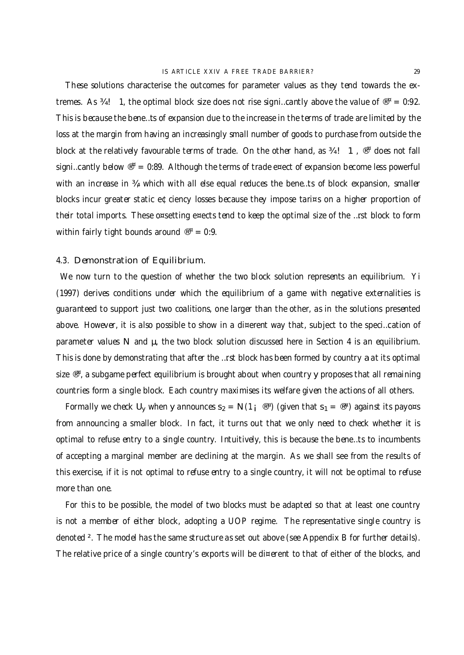These solutions characterise the outcomes for parameter values as they tend towards the extremes. As  $\frac{3}{4}$ ! 1, the optimal block size does not rise signi...cantly above the value of  $^{\circledR}$  = 0:92. This is because the bene…ts of expansion due to the increase in the terms of trade are limited by the loss at the margin from having an increasingly small number of goods to purchase from outside the block at the relatively favourable terms of trade. On the other hand, as  $\frac{3}{4}$ ! 1,  $\mathbb{P}^{\alpha}$  does not fall signi…cantly below  $^{\circledR^{\text{H}}}$  = 0:89. Although the terms of trade e¤ect of expansion become less powerful with an increase in 34, which with all else equal reduces the bene...ts of block expansion, smaller blocks incur greater static e¢ciency losses because they impose tari¤s on a higher proportion of their total imports. These o¤setting e¤ects tend to keep the optimal size of the …rst block to form within fairly tight bounds around  $^{\circledR^{\mathrm{u}}}=0$ :9.

## 4.3. Demonstration of Equilibrium.

We now turn to the question of whether the two block solution represents an equilibrium. Yi (1997) derives conditions under which the equilibrium of a game with negative externalities is guaranteed to support just two coalitions, one larger than the other, as in the solutions presented above. However, it is also possible to show in a di¤erent way that, subject to the speci…cation of parameter values N and  $\mu$ , the two block solution discussed here in Section 4 is an equilibrium. This is done by demonstrating that after the …rst block has been formed by country a at its optimal size  $^{\circledR^{\alpha}}$ , a subgame perfect equilibrium is brought about when country y proposes that all remaining countries form a single block. Each country maximises its welfare given the actions of all others.

Formally we check U<sub>y</sub> when y announces s<sub>2</sub> =  $N(1_i \otimes^{\pi})$  (given that s<sub>1</sub> =  $^{\circledR}$ ) against its payo¤s from announcing a smaller block. In fact, it turns out that we only need to check whether it is optimal to refuse entry to a single country. Intuitively, this is because the bene…ts to incumbents of accepting a marginal member are declining at the margin. As we shall see from the results of this exercise, if it is not optimal to refuse entry to a single country, it will not be optimal to refuse more than one.

For this to be possible, the model of two blocks must be adapted so that at least one country is not a member of either block, adopting a UOP regime. The representative single country is denoted ². The model has the same structure as set out above (see Appendix B for further details). The relative price of a single country's exports will be di¤erent to that of either of the blocks, and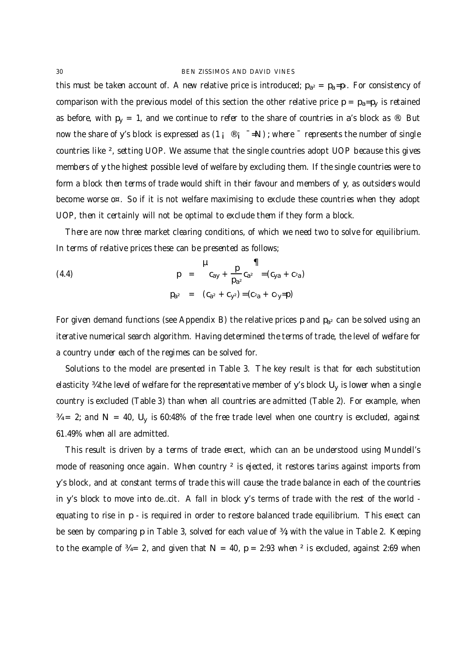this must be taken account of. A new relative price is introduced;  $p_{a^2} = p_a = p_z$ . For consistency of comparison with the previous model of this section the other relative price  $p = p_a = p_y$  is retained as before, with  $p_y = 1$ , and we continue to refer to the share of countries in a's block as ®. But now the share of y's block is expressed as  $(1_i \otimes i_i = N)$ ; where  $\bar{ }$  represents the number of single countries like ², setting UOP. We assume that the single countries adopt UOP because this gives members of y the highest possible level of welfare by excluding them. If the single countries were to form a block then terms of trade would shift in their favour and members of y, as outsiders would become worse o¤. So if it is not welfare maximising to exclude these countries when they adopt UOP, then it certainly will not be optimal to exclude them if they form a block.

There are now three market clearing conditions, of which we need two to solve for equilibrium. In terms of relative prices these can be presented as follows;

(4.4) 
$$
p = \frac{p}{c_{ay} + \frac{p}{p_{a^2}}c_{a^2}} = (c_{ya} + c_{2a})
$$

$$
p_{a^2} = (c_{a^2} + c_{y^2}) = (c_{2a} + c_{2y} = p)
$$

For given demand functions (see Appendix B) the relative prices p and  $p_{a^2}$  can be solved using an iterative numerical search algorithm. Having determined the terms of trade, the level of welfare for a country under each of the regimes can be solved for.

Solutions to the model are presented in Table 3. The key result is that for each substitution elasticity ¾ the level of welfare for the representative member of y's block U<sub>y</sub> is lower when a single country is excluded (Table 3) than when all countries are admitted (Table 2). For example, when  $\%$  = 2; and N = 40, U<sub>y</sub> is 60:48% of the free trade level when one country is excluded, against 61.49% when all are admitted.

This result is driven by a terms of trade e¤ect, which can an be understood using Mundell's mode of reasoning once again. When country <sup>2</sup> is ejected, it restores tari¤s against imports from y's block, and at constant terms of trade this will cause the trade balance in each of the countries in y's block to move into de…cit. A fall in block y's terms of trade with the rest of the world equating to rise in p - is required in order to restore balanced trade equilibrium. This e¤ect can be seen by comparing p in Table 3, solved for each value of  $\frac{3}{4}$ ; with the value in Table 2. Keeping to the example of  $\frac{3}{4}$  = 2, and given that N = 40, p = 2:93 when <sup>2</sup> is excluded, against 2:69 when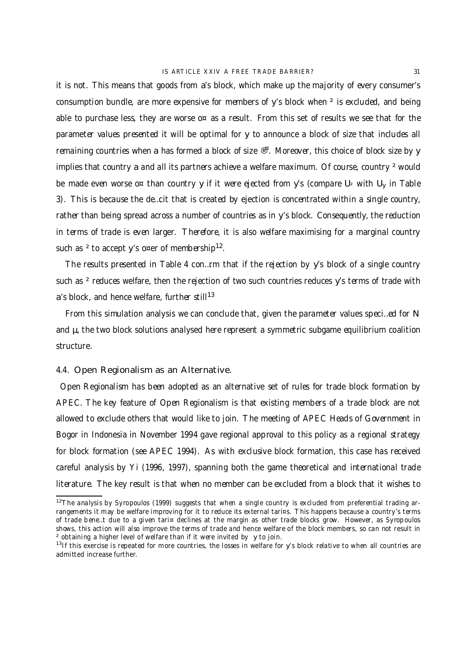it is not. This means that goods from a's block, which make up the majority of every consumer's consumption bundle, are more expensive for members of y's block when ² is excluded, and being able to purchase less, they are worse  $o<sup>\alpha</sup>$  as a result. From this set of results we see that for the parameter values presented it will be optimal for y to announce a block of size that includes all remaining countries when a has formed a block of size ®<sup>¤</sup>. Moreover, this choice of block size by y implies that country a and all its partners achieve a welfare maximum. Of course, country <sup>2</sup> would be made even worse o¤ than country y if it were ejected from y's (compare U<sub>2</sub> with U<sub>y</sub> in Table 3). This is because the de…cit that is created by ejection is concentrated within a single country, rather than being spread across a number of countries as in y's block. Consequently, the reduction in terms of trade is even larger. Therefore, it is also welfare maximising for a marginal country such as <sup>2</sup> to accept y's o¤er of membership<sup>12</sup>.

The results presented in Table 4 con…rm that if the rejection by y's block of a single country such as <sup>2</sup> reduces welfare, then the rejection of two such countries reduces y's terms of trade with a's block, and hence welfare, further still<sup>13</sup>

From this simulation analysis we can conclude that, given the parameter values speci…ed for N and  $\mu$ , the two block solutions analysed here represent a symmetric subgame equilibrium coalition structure.

### 4.4. Open Regionalism as an Alternative.

Open Regionalism has been adopted as an alternative set of rules for trade block formation by APEC. The key feature of Open Regionalism is that existing members of a trade block are not allowed to exclude others that would like to join. The meeting of APEC Heads of Government in Bogor in Indonesia in November 1994 gave regional approval to this policy as a regional strategy for block formation (see APEC 1994). As with exclusive block formation, this case has received careful analysis by Yi (1996, 1997), spanning both the game theoretical and international trade literature. The key result is that when no member can be excluded from a block that it wishes to

<sup>&</sup>lt;sup>12</sup>The analysis by Syropoulos (1999) suggests that when a single country is excluded from preferential trading arrangements it may be welfare improving for it to reduce its external tari¤s. This happens because a country's terms of trade bene…t due to a given tari¤ declines at the margin as other trade blocks grow. However, as Syropoulos shows, this action will also improve the terms of trade and hence welfare of the block members, so can not result in ² obtaining a higher level of welfare than if it were invited by y to join.

<sup>&</sup>lt;sup>13</sup>If this exercise is repeated for more countries, the losses in welfare for y's block relative to when all countries are admitted increase further.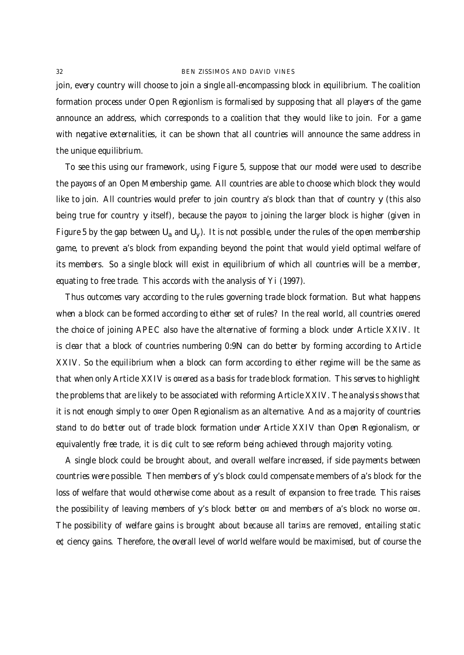join, every country will choose to join a single all-encompassing block in equilibrium. The coalition formation process under Open Regionlism is formalised by supposing that all players of the game announce an address, which corresponds to a coalition that they would like to join. For a game with negative externalities, it can be shown that all countries will announce the same address in the unique equilibrium.

To see this using our framework, using Figure 5, suppose that our model were used to describe the payo¤s of an Open Membership game. All countries are able to choose which block they would like to join. All countries would prefer to join country a's block than that of country y (this also being true for country y itself), because the payo<sub>¤</sub> to joining the larger block is higher (given in Figure 5 by the gap between U<sub>a</sub> and U<sub>y</sub>). It is not possible, under the rules of the open membership game, to prevent a's block from expanding beyond the point that would yield optimal welfare of its members. So a single block will exist in equilibrium of which all countries will be a member, equating to free trade. This accords with the analysis of Yi (1997).

Thus outcomes vary according to the rules governing trade block formation. But what happens when a block can be formed according to either set of rules? In the real world, all countries o¤ered the choice of joining APEC also have the alternative of forming a block under Article XXIV. It is clear that a block of countries numbering 0:9N can do better by forming according to Article XXIV. So the equilibrium when a block can form according to either regime will be the same as that when only Article XXIV is o¤ered as a basis for trade block formation. This serves to highlight the problems that are likely to be associated with reforming Article XXIV. The analysis shows that it is not enough simply to o¤er Open Regionalism as an alternative. And as a majority of countries stand to do better out of trade block formation under Article XXIV than Open Regionalism, or equivalently free trade, it is di¢cult to see reform being achieved through majority voting.

A single block could be brought about, and overall welfare increased, if side payments between countries were possible. Then members of y's block could compensate members of a's block for the loss of welfare that would otherwise come about as a result of expansion to free trade. This raises the possibility of leaving members of y's block better o¤ and members of a's block no worse o¤. The possibility of welfare gains is brought about because all tari¤s are removed, entailing static e¢ciency gains. Therefore, the overall level of world welfare would be maximised, but of course the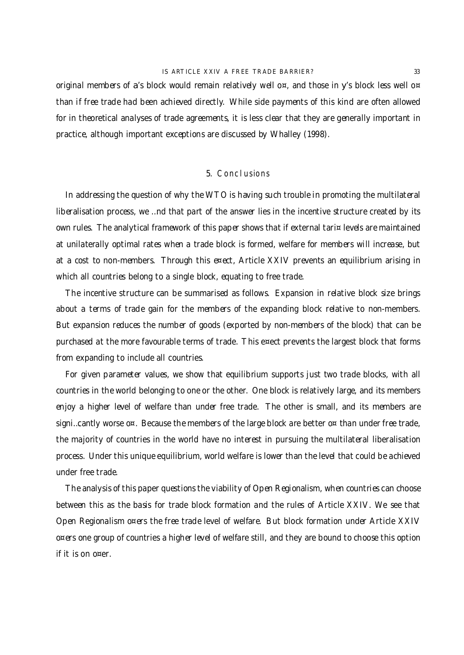original members of a's block would remain relatively well o¤, and those in y's block less well o¤ than if free trade had been achieved directly. While side payments of this kind are often allowed for in theoretical analyses of trade agreements, it is less clear that they are generally important in practice, although important exceptions are discussed by Whalley (1998).

#### 5. Conclusions

In addressing the question of why the WTO is having such trouble in promoting the multilateral liberalisation process, we …nd that part of the answer lies in the incentive structure created by its own rules. The analytical framework of this paper shows that if external tari¤ levels are maintained at unilaterally optimal rates when a trade block is formed, welfare for members will increase, but at a cost to non-members. Through this e¤ect, Article XXIV prevents an equilibrium arising in which all countries belong to a single block, equating to free trade.

The incentive structure can be summarised as follows. Expansion in relative block size brings about a terms of trade gain for the members of the expanding block relative to non-members. But expansion reduces the number of goods (exported by non-members of the block) that can be purchased at the more favourable terms of trade. This e¤ect prevents the largest block that forms from expanding to include all countries.

For given parameter values, we show that equilibrium supports just two trade blocks, with all countries in the world belonging to one or the other. One block is relatively large, and its members enjoy a higher level of welfare than under free trade. The other is small, and its members are signi...cantly worse  $o^{\alpha}$ . Because the members of the large block are better  $o^{\alpha}$  than under free trade, the majority of countries in the world have no interest in pursuing the multilateral liberalisation process. Under this unique equilibrium, world welfare is lower than the level that could be achieved under free trade.

The analysis of this paper questions the viability of Open Regionalism, when countries can choose between this as the basis for trade block formation and the rules of Article XXIV. We see that Open Regionalism o¤ers the free trade level of welfare. But block formation under Article XXIV o¤ers one group of countries a higher level of welfare still, and they are bound to choose this option if it is on o¤er.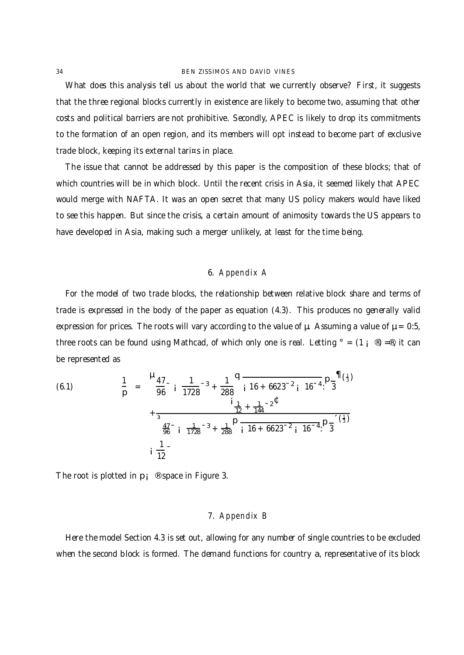What does this analysis tell us about the world that we currently observe? First, it suggests that the three regional blocks currently in existence are likely to become two, assuming that other costs and political barriers are not prohibitive. Secondly, APEC is likely to drop its commitments to the formation of an open region, and its members will opt instead to become part of exclusive trade block, keeping its external tari¤s in place.

The issue that cannot be addressed by this paper is the composition of these blocks; that of which countries will be in which block. Until the recent crisis in Asia, it seemed likely that APEC would merge with NAFTA. It was an open secret that many US policy makers would have liked to see this happen. But since the crisis, a certain amount of animosity towards the US appears to have developed in Asia, making such a merger unlikely, at least for the time being.

## 6. Appendix A

For the model of two trade blocks, the relationship between relative block share and terms of trade is expressed in the body of the paper as equation (4.3). This produces no generally valid expression for prices. The roots will vary according to the value of  $\mu$ . Assuming a value of  $\mu = 0.5$ , three roots can be found using Mathcad, of which only one is real. Letting  $\degree = (1 \degree \degree) = \degree$ , it can be represented as

(6.1) 
$$
\frac{1}{p} = \frac{H_{47}}{96} i \frac{1}{1728} - 3 + \frac{1}{288} \frac{H_{47}}{16} + \frac{1}{248} - 2 \frac{H_{47}}{16} + \frac{1}{3} \frac{H_{47}}{16} + \frac{1}{3} \frac{H_{47}}{1728} - 3 + \frac{1}{288} \frac{H_{47}}{16} + \frac{1}{6623} - 2 \frac{H_{47}}{16} + \frac{1}{6623} - 2 \frac{H_{47}}{16} + \frac{1}{6623} - 2 \frac{H_{47}}{16} + \frac{1}{6623} - 2 \frac{H_{47}}{16} + \frac{1}{6623} - 2 \frac{H_{47}}{16} + \frac{1}{6623} - 2 \frac{H_{47}}{16} + \frac{1}{6623} - 2 \frac{H_{47}}{16} + \frac{1}{6623} - \frac{1}{6623} - \frac{1}{6623} - \frac{1}{6623} - \frac{1}{6623} - \frac{1}{6623} - \frac{1}{6623} - \frac{1}{6623} - \frac{1}{6623} - \frac{1}{6623} - \frac{1}{6623} - \frac{1}{6623} - \frac{1}{6623} - \frac{1}{6623} - \frac{1}{6623} - \frac{1}{6623} - \frac{1}{6623} - \frac{1}{6623} - \frac{1}{6623} - \frac{1}{6623} - \frac{1}{6623} - \frac{1}{6623} - \frac{1}{6623} - \frac{1}{6623} - \frac{1}{6623} - \frac{1}{6623} - \frac{1}{6623} - \frac{1}{6623} - \frac{1}{6623} - \frac{1}{6623} - \frac{1}{6623} - \frac{1}{6623} - \frac{1}{6623} - \frac{1}{6623} - \frac{1}{6623} - \frac{1}{6623} - \frac{1}{6623} - \frac{1}{6623} - \frac{1}{6
$$

The root is plotted in  $p_i \circ p_i$  space in Figure 3.

## 7. Appendix B

Here the model Section 4.3 is set out, allowing for any number of single countries to be excluded when the second block is formed. The demand functions for country a, representative of its block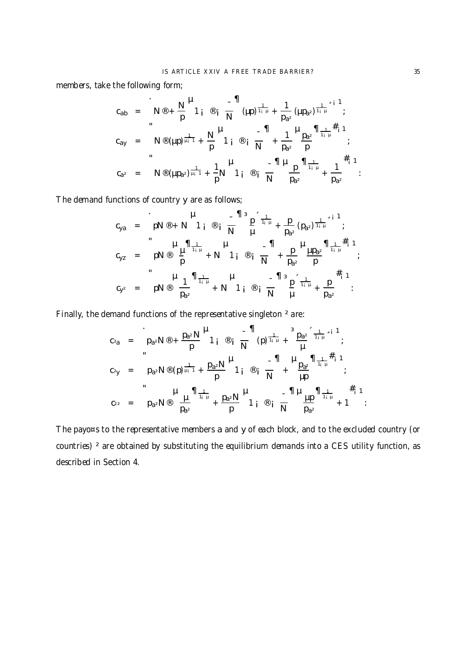members, take the following form;

$$
c_{ab} = N \otimes + \frac{N}{p} \stackrel{\text{H}}{1}_{i} \otimes_{i} \frac{-\Pi}{N} (\mu p)^{\frac{1}{1+\mu}} + \frac{1}{p_{a^{2}}} (\mu p_{a^{2}})^{\frac{1}{1+\mu}} \stackrel{\text{i} \atop 1}{\underset{p}{1+\mu}}^{1};
$$
  
\n
$$
c_{ay} = N \otimes (\mu p)^{\frac{1}{\mu_{i}-1}} + \frac{N}{p} \stackrel{\text{H}}{1}_{i} \otimes_{i} \frac{-\Pi}{N} + \frac{1}{p_{a^{2}}} \stackrel{\text{H}}{p}_{\underset{p}{a^{2}}} \stackrel{\text{H}}{1_{\underset{p}{1+\mu}}^{1+\mu}}^{1};
$$
  
\n
$$
c_{a^{2}} = N \otimes (\mu p_{a^{2}})^{\frac{1}{\mu_{i}-1}} + \frac{1}{p} N \stackrel{\text{H}}{1}_{i} \otimes_{i} \frac{-\Pi \stackrel{\text{H}}{N}}{N} \stackrel{\text{H}}{p}_{a^{2}} \stackrel{\text{H}}{1_{\underset{p}{1+\mu}}^{1+\mu}}^{1+\frac{1}{\mu}} + \frac{1}{p_{a^{2}}} \stackrel{\#_{i} 1}{\vdots}^{1};
$$

The demand functions of country y are as follows;

$$
c_{ya} = pN \circledast + N 1_{i} \circledast \frac{1}{N} \cdot \frac{1}{\mu} + \frac{p}{p_{a^{2}}} (p_{a^{2}})^{\frac{1}{1+\mu}} \cdot \frac{1}{\mu};
$$
  
\n
$$
c_{yz} = pN \circledast \frac{\mu}{p} \frac{1}{\frac{1}{1+\mu}} + N 1_{i} \circledast \frac{1}{N} + \frac{p}{p_{a^{2}}} \frac{\mu_{p_{a^{2}}} n_{\frac{1}{1+\mu}} \cdot \frac{1}{\mu}}{\frac{1}{N}};
$$
  
\n
$$
c_{y^{2}} = pN \circledast \frac{1}{p_{a^{2}}} \frac{1}{n_{\frac{1}{1+\mu}}} + N 1_{i} \circledast \frac{1}{N} \cdot \frac{1}{N} \cdot \frac{1}{\mu} + \frac{p}{p_{a^{2}}} \cdot \frac{1}{n_{\frac{1}{1+\mu}}} + \frac{p}{p_{a^{2}}}.
$$

Finally, the demand functions of the representative singleton ² are:

$$
c_{2a} = p_{a^2}N^{\circledast} + \frac{p_{a^2}N}{p} \begin{bmatrix} H & -\prod_{\substack{1 \\ 1 \text{ odd}}} \frac{1}{N} & \frac{3p_{a^2}}{1+\mu} \frac{1}{\mu} \frac{1}{\mu} \end{bmatrix}
$$
  
\n
$$
c_{2y} = p_{a^2}N^{\circledast}(p) \frac{1}{\mu_1 \tau} + \frac{p_{a^2}N}{p} \begin{bmatrix} H & -\prod_{\substack{1 \\ 1 \text{ odd}}} \frac{1}{N} & + \frac{p_{a^2}}{\mu} \frac{1}{\mu_1 \mu} \frac{1}{\mu_1} \end{bmatrix}
$$
  
\n
$$
c_{2z} = p_{a^2}N^{\circledast} \frac{1}{p_{a^2}} \begin{bmatrix} \frac{1}{\mu_1 \mu_1} & \frac{1}{\mu_2 \mu_2} & \frac{1}{\mu_1 \mu_2} & \frac{1}{\mu_2 \mu_2} \\ \frac{1}{\mu_1 \mu_2} & \frac{1}{\mu_2 \mu_2} & \frac{1}{\mu_2 \mu_2} & \frac{1}{\mu_2 \mu_2} \end{bmatrix}
$$
  
\n
$$
c_{2z} = p_{a^2}N^{\circledast} \frac{1}{p_{a^2}} \begin{bmatrix} \frac{1}{\mu_1 \mu_2} & \frac{1}{\mu_2 \mu_2} & \frac{1}{\mu_2 \mu_2} & \frac{1}{\mu_2 \mu_2} \\ \frac{1}{\mu_2 \mu_2} & \frac{1}{\mu_2 \mu_2} & \frac{1}{\mu_2 \mu_2} & \frac{1}{\mu_2 \mu_2} & \frac{1}{\mu_2 \mu_2} \end{bmatrix}
$$

The payo¤s to the representative members a and y of each block, and to the excluded country (or countries)<sup>2</sup> are obtained by substituting the equilibrium demands into a CES utility function, as described in Section 4.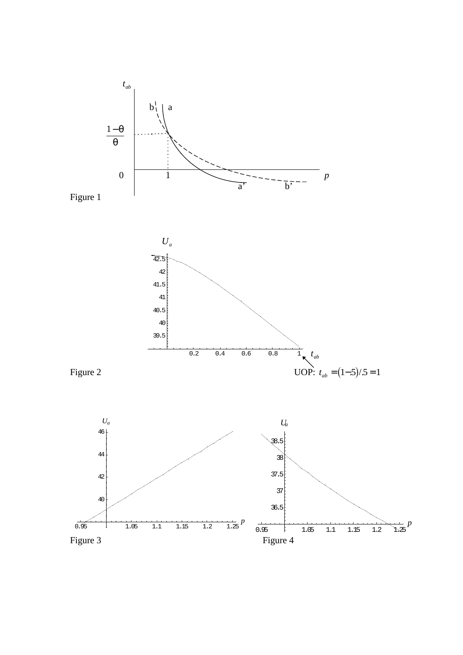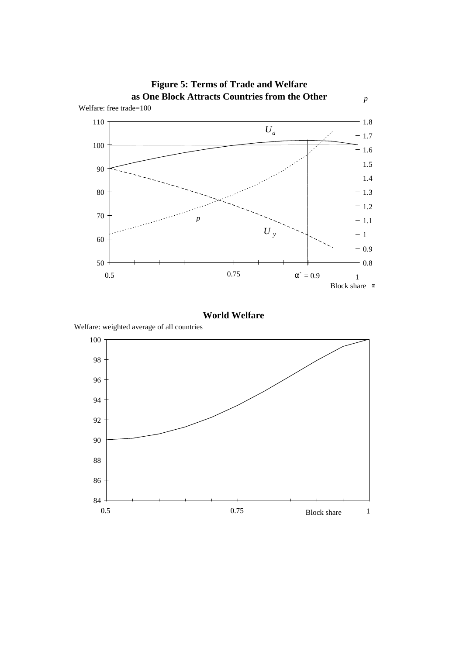

**World Welfare**

Welfare: weighted average of all countries

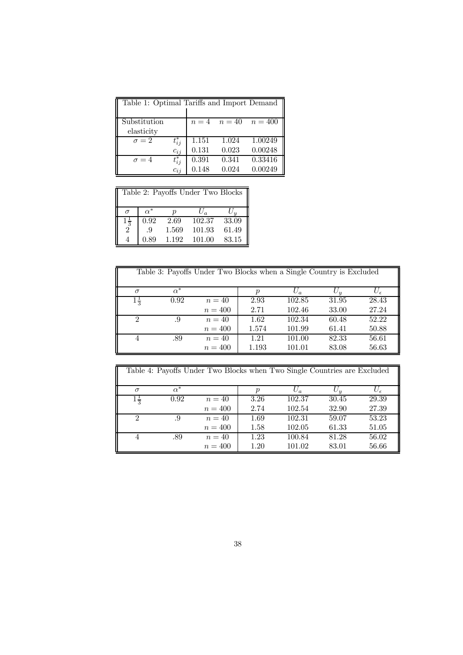| Table 1: Optimal Tariffs and Import Demand |            |       |       |                            |
|--------------------------------------------|------------|-------|-------|----------------------------|
| Substitution                               |            |       |       | $n = 4$ $n = 40$ $n = 400$ |
| elasticity                                 |            |       |       |                            |
| $\sigma = 2$                               | $t_{ij}^*$ | 1.151 | 1.024 | 1.00249                    |
|                                            | $c_{ij}$   | 0.131 | 0.023 | 0.00248                    |
| $\sigma = 4$                               | $t_{ij}^*$ | 0.391 | 0.341 | 0.33416                    |
|                                            | $c_{ij}$   | 0.148 | 0.024 | 0.00249                    |

| Table 2: Payoffs Under Two Blocks |            |       |        |       |  |  |
|-----------------------------------|------------|-------|--------|-------|--|--|
| $\sigma$                          | $\alpha^*$ |       | $U_a$  |       |  |  |
| $1\frac{1}{3}$                    | 0.92       | 2.69  | 102.37 | 33.09 |  |  |
| $\ddot{2}$                        | .9         | 1.569 | 101.93 | 61.49 |  |  |
|                                   | 0.89       | 1.192 | 101.00 | 83.15 |  |  |

| Table 3: Payoffs Under Two Blocks when a Single Country is Excluded |            |           |       |        |       |                |
|---------------------------------------------------------------------|------------|-----------|-------|--------|-------|----------------|
| $\sigma$                                                            | $\alpha^*$ |           |       | $U_a$  | $U_y$ | $U_{\epsilon}$ |
| $1\frac{1}{3}$                                                      | 0.92       | $n=40$    | 2.93  | 102.85 | 31.95 | 28.43          |
|                                                                     |            | $n = 400$ | 2.71  | 102.46 | 33.00 | 27.24          |
| $\mathcal{D}_{\mathcal{L}}$                                         | .9         | $n=40$    | 1.62  | 102.34 | 60.48 | 52.22          |
|                                                                     |            | $n=400$   | 1.574 | 101.99 | 61.41 | 50.88          |
|                                                                     | .89        | $n=40$    | 1.21  | 101.00 | 82.33 | 56.61          |
|                                                                     |            | $n=400$   | 1.193 | 101.01 | 83.08 | 56.63          |

| Table 4: Payoffs Under Two Blocks when Two Single Countries are Excluded |            |           |      |        |              |                |
|--------------------------------------------------------------------------|------------|-----------|------|--------|--------------|----------------|
| $\sigma$                                                                 | $\alpha^*$ |           |      | $U_a$  | $U_{\bm{u}}$ | $U_{\epsilon}$ |
| $1\frac{1}{2}$                                                           | 0.92       | $n=40$    | 3.26 | 102.37 | 30.45        | 29.39          |
|                                                                          |            | $n=400$   | 2.74 | 102.54 | 32.90        | 27.39          |
| 2                                                                        | .9         | $n=40$    | 1.69 | 102.31 | 59.07        | 53.23          |
|                                                                          |            | $n=400$   | 1.58 | 102.05 | 61.33        | 51.05          |
|                                                                          | .89        | $n=40$    | 1.23 | 100.84 | 81.28        | 56.02          |
|                                                                          |            | $n = 400$ | 1.20 | 101.02 | 83.01        | 56.66          |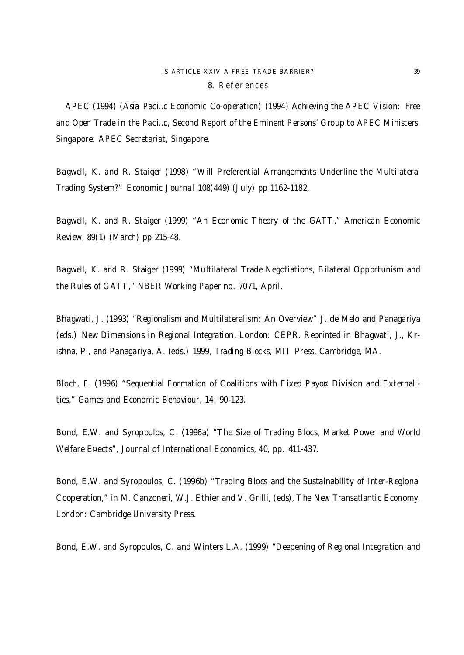## IS ARTICLE XXIV A FREE TRADE BARRIER? 39 8. References

APEC (1994) (Asia Paci…c Economic Co-operation) (1994) Achieving the APEC Vision: Free and Open Trade in the Paci…c, Second Report of the Eminent Persons' Group to APEC Ministers. Singapore: APEC Secretariat, Singapore.

Bagwell, K. and R. Staiger (1998) "Will Preferential Arrangements Underline the Multilateral Trading System?" Economic Journal 108(449) (July) pp 1162-1182.

Bagwell, K. and R. Staiger (1999) "An Economic Theory of the GATT," American Economic Review, 89(1) (March) pp 215-48.

Bagwell, K. and R. Staiger (1999) "Multilateral Trade Negotiations, Bilateral Opportunism and the Rules of GATT," NBER Working Paper no. 7071, April.

Bhagwati, J. (1993) "Regionalism and Multilateralism: An Overview" J. de Melo and Panagariya (eds.) New Dimensions in Regional Integration, London: CEPR. Reprinted in Bhagwati, J., Krishna, P., and Panagariya, A. (eds.) 1999, Trading Blocks, MIT Press, Cambridge, MA.

Bloch, F. (1996) "Sequential Formation of Coalitions with Fixed Payo¤ Division and Externalities," Games and Economic Behaviour, 14: 90-123.

Bond, E.W. and Syropoulos, C. (1996a) "The Size of Trading Blocs, Market Power and World Welfare E¤ects", Journal of International Economics, 40, pp. 411-437.

Bond, E.W. and Syropoulos, C. (1996b) "Trading Blocs and the Sustainability of Inter-Regional Cooperation," in M. Canzoneri, W.J. Ethier and V. Grilli, (eds), The New Transatlantic Economy, London: Cambridge University Press.

Bond, E.W. and Syropoulos, C. and Winters L.A. (1999) "Deepening of Regional Integration and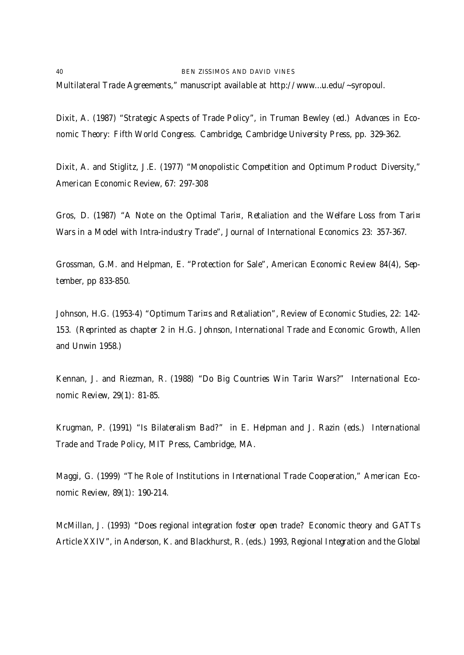40 BEN ZISSIMOS AND DAVID VINES Multilateral Trade Agreements," manuscript available at http://www.…u.edu/~syropoul.

Dixit, A. (1987) "Strategic Aspects of Trade Policy", in Truman Bewley (ed.) Advances in Economic Theory: Fifth World Congress. Cambridge, Cambridge University Press, pp. 329-362.

Dixit, A. and Stiglitz, J.E. (1977) "Monopolistic Competition and Optimum Product Diversity," American Economic Review, 67: 297-308

Gros, D. (1987) "A Note on the Optimal Tari¤, Retaliation and the Welfare Loss from Tari¤ Wars in a Model with Intra-industry Trade", Journal of International Economics 23: 357-367.

Grossman, G.M. and Helpman, E. "Protection for Sale", American Economic Review 84(4), September, pp 833-850.

Johnson, H.G. (1953-4) "Optimum Tari¤s and Retaliation", Review of Economic Studies, 22: 142- 153. (Reprinted as chapter 2 in H.G. Johnson, International Trade and Economic Growth, Allen and Unwin 1958.)

Kennan, J. and Riezman, R. (1988) "Do Big Countries Win Tari¤ Wars?" International Economic Review, 29(1): 81-85.

Krugman, P. (1991) "Is Bilateralism Bad?" in E. Helpman and J. Razin (eds.) International Trade and Trade Policy, MIT Press, Cambridge, MA.

Maggi, G. (1999) "The Role of Institutions in International Trade Cooperation," American Economic Review, 89(1): 190-214.

McMillan, J. (1993) "Does regional integration foster open trade? Economic theory and GATTs Article XXIV", in Anderson, K. and Blackhurst, R. (eds.) 1993, Regional Integration and the Global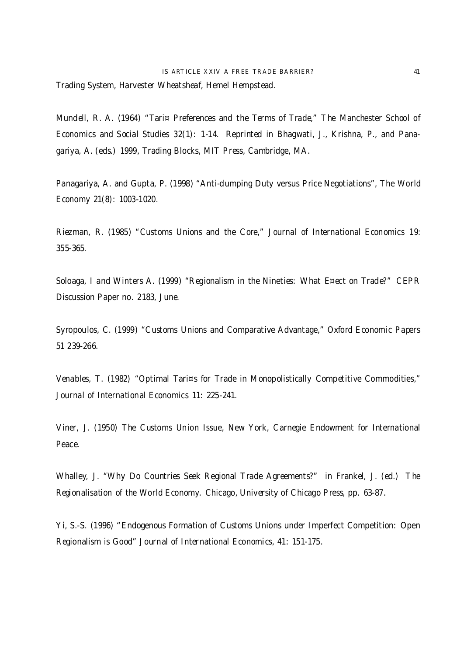Trading System, Harvester Wheatsheaf, Hemel Hempstead.

Mundell, R. A. (1964) "Tari¤ Preferences and the Terms of Trade," The Manchester School of Economics and Social Studies 32(1): 1-14. Reprinted in Bhagwati, J., Krishna, P., and Panagariya, A. (eds.) 1999, Trading Blocks, MIT Press, Cambridge, MA.

Panagariya, A. and Gupta, P. (1998) "Anti-dumping Duty versus Price Negotiations", The World Economy 21(8): 1003-1020.

Riezman, R. (1985) "Customs Unions and the Core," Journal of International Economics 19: 355-365.

Soloaga, I and Winters A. (1999) "Regionalism in the Nineties: What E¤ect on Trade?" CEPR Discussion Paper no. 2183, June.

Syropoulos, C. (1999) "Customs Unions and Comparative Advantage," Oxford Economic Papers 51 239-266.

Venables, T. (1982) "Optimal Tari¤s for Trade in Monopolistically Competitive Commodities," Journal of International Economics 11: 225-241.

Viner, J. (1950) The Customs Union Issue, New York, Carnegie Endowment for International Peace.

Whalley, J. "Why Do Countries Seek Regional Trade Agreements?" in Frankel, J. (ed.) The Regionalisation of the World Economy. Chicago, University of Chicago Press, pp. 63-87.

Yi, S.-S. (1996) "Endogenous Formation of Customs Unions under Imperfect Competition: Open Regionalism is Good" Journal of International Economics, 41: 151-175.